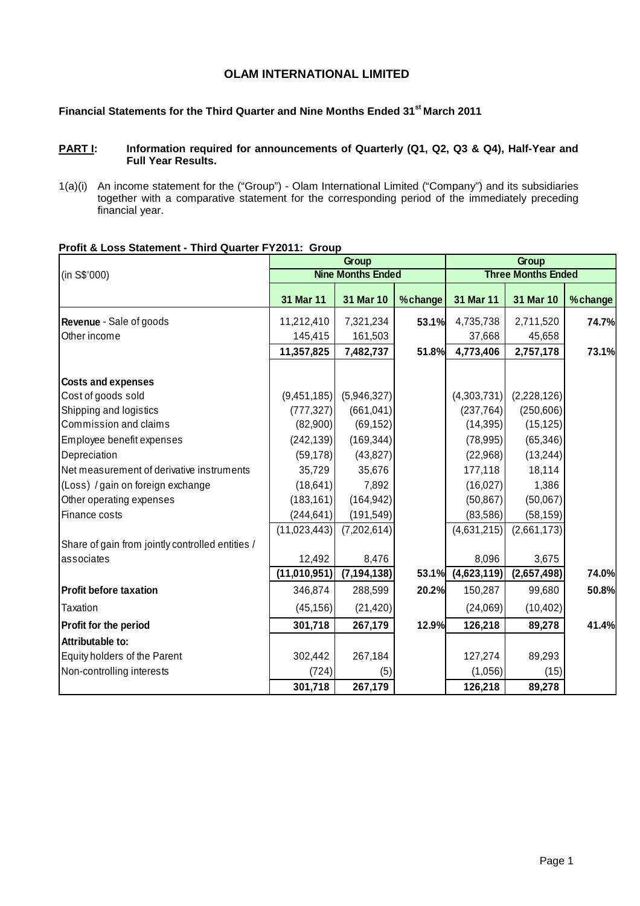# **OLAM INTERNATIONAL LIMITED**

# **Financial Statements for the Third Quarter and Nine Months Ended 31st March 2011**

## PART I: Information required for announcements of Quarterly (Q1, Q2, Q3 & Q4), Half-Year and **Full Year Results.**

1(a)(i) An income statement for the ("Group") - Olam International Limited ("Company") and its subsidiaries together with a comparative statement for the corresponding period of the immediately preceding financial year.

|                                                  |                | Group                    |         |                   |                           |          |
|--------------------------------------------------|----------------|--------------------------|---------|-------------------|---------------------------|----------|
| (in S\$'000)                                     |                | <b>Nine Months Ended</b> |         |                   | <b>Three Months Ended</b> |          |
|                                                  | 31 Mar 11      | 31 Mar 10                | %change | 31 Mar 11         | 31 Mar 10                 | % change |
| Revenue - Sale of goods                          | 11,212,410     | 7,321,234                | 53.1%   | 4,735,738         | 2,711,520                 | 74.7%    |
| Other income                                     | 145,415        | 161,503                  |         | 37,668            | 45,658                    |          |
|                                                  | 11,357,825     | 7,482,737                | 51.8%   | 4,773,406         | 2,757,178                 | 73.1%    |
| <b>Costs and expenses</b>                        |                |                          |         |                   |                           |          |
| Cost of goods sold                               | (9,451,185)    | (5,946,327)              |         | (4,303,731)       | (2,228,126)               |          |
| Shipping and logistics                           | (777, 327)     | (661, 041)               |         | (237, 764)        | (250, 606)                |          |
| Commission and claims                            | (82,900)       | (69, 152)                |         | (14, 395)         | (15, 125)                 |          |
| Employee benefit expenses                        | (242, 139)     | (169, 344)               |         | (78, 995)         | (65, 346)                 |          |
| Depreciation                                     | (59, 178)      | (43, 827)                |         | (22,968)          | (13, 244)                 |          |
| Net measurement of derivative instruments        | 35,729         | 35,676                   |         | 177,118           | 18,114                    |          |
| (Loss) / gain on foreign exchange                | (18, 641)      | 7,892                    |         | (16, 027)         | 1,386                     |          |
| Other operating expenses                         | (183, 161)     | (164, 942)               |         | (50, 867)         | (50,067)                  |          |
| Finance costs                                    | (244, 641)     | (191, 549)               |         | (83,586)          | (58, 159)                 |          |
|                                                  | (11,023,443)   | (7,202,614)              |         | (4,631,215)       | (2,661,173)               |          |
| Share of gain from jointly controlled entities / |                |                          |         |                   |                           |          |
| associates                                       | 12,492         | 8,476                    |         | 8,096             | 3,675                     |          |
|                                                  | (11, 010, 951) | (7, 194, 138)            |         | 53.1% (4,623,119) | (2,657,498)               | 74.0%    |
| <b>Profit before taxation</b>                    | 346,874        | 288,599                  | 20.2%   | 150,287           | 99,680                    | 50.8%    |
| Taxation                                         | (45, 156)      | (21, 420)                |         | (24,069)          | (10, 402)                 |          |
| Profit for the period                            | 301,718        | 267,179                  | 12.9%   | 126,218           | 89,278                    | 41.4%    |
| Attributable to:                                 |                |                          |         |                   |                           |          |
| Equity holders of the Parent                     | 302,442        | 267,184                  |         | 127,274           | 89,293                    |          |
| Non-controlling interests                        | (724)          | (5)                      |         | (1,056)           | (15)                      |          |
|                                                  | 301,718        | 267,179                  |         | 126,218           | 89,278                    |          |

# **Profit & Loss Statement - Third Quarter FY2011: Group**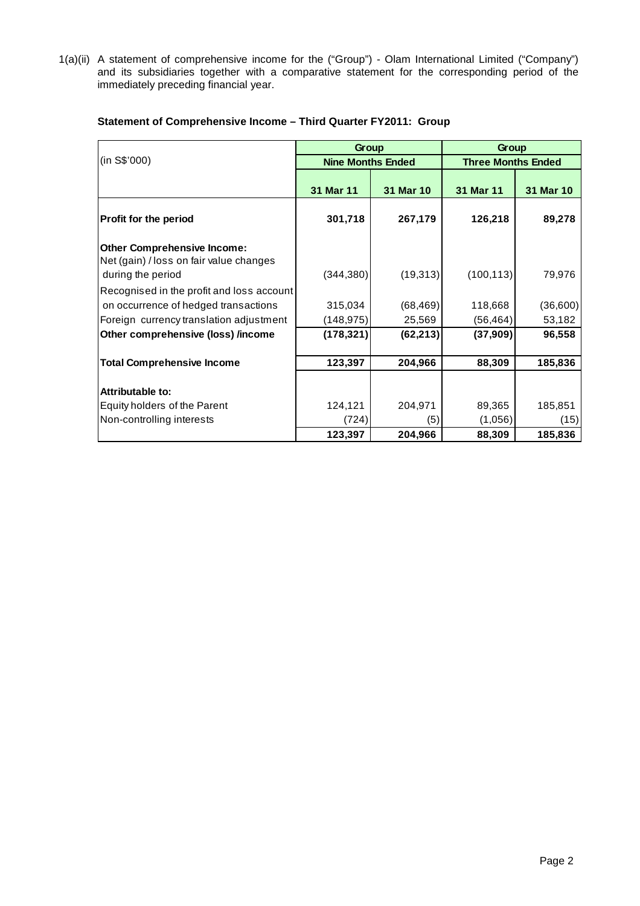1(a)(ii) A statement of comprehensive income for the ("Group") - Olam International Limited ("Company") and its subsidiaries together with a comparative statement for the corresponding period of the immediately preceding financial year.

|                                                                                                    | Group                    |           | Group                     |           |  |  |
|----------------------------------------------------------------------------------------------------|--------------------------|-----------|---------------------------|-----------|--|--|
| (in S\$'000)                                                                                       | <b>Nine Months Ended</b> |           | <b>Three Months Ended</b> |           |  |  |
|                                                                                                    | 31 Mar 11                | 31 Mar 10 | 31 Mar 11                 | 31 Mar 10 |  |  |
| Profit for the period                                                                              | 301,718                  | 267,179   | 126,218                   | 89,278    |  |  |
| <b>Other Comprehensive Income:</b><br>Net (gain) / loss on fair value changes<br>during the period | (344, 380)               | (19, 313) | (100, 113)                | 79,976    |  |  |
| Recognised in the profit and loss account                                                          |                          |           |                           |           |  |  |
| on occurrence of hedged transactions                                                               | 315,034                  | (68, 469) | 118,668                   | (36,600)  |  |  |
| Foreign currency translation adjustment                                                            | (148,975)                | 25,569    | (56, 464)                 | 53,182    |  |  |
| Other comprehensive (loss) /income                                                                 | (178, 321)               | (62, 213) | (37, 909)                 | 96,558    |  |  |
|                                                                                                    |                          |           |                           |           |  |  |
| <b>Total Comprehensive Income</b>                                                                  | 123,397                  | 204,966   | 88,309                    | 185,836   |  |  |
|                                                                                                    |                          |           |                           |           |  |  |
| Attributable to:                                                                                   |                          |           |                           |           |  |  |
| Equity holders of the Parent                                                                       | 124,121                  | 204,971   | 89,365                    | 185,851   |  |  |
| Non-controlling interests                                                                          | (724)                    | (5)       | (1,056)                   | (15)      |  |  |
|                                                                                                    | 123,397                  | 204,966   | 88,309                    | 185,836   |  |  |

## **Statement of Comprehensive Income – Third Quarter FY2011: Group**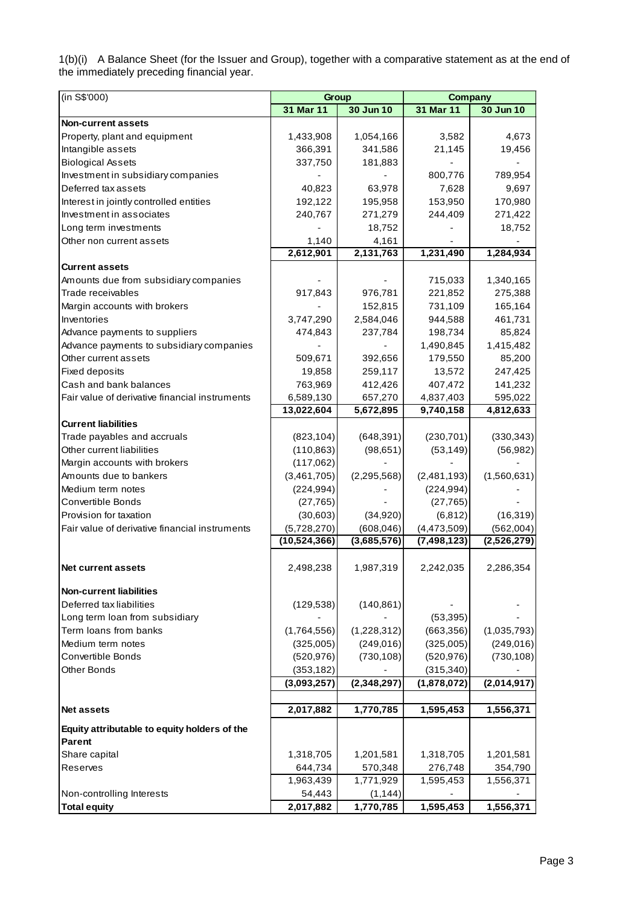1(b)(i) A Balance Sheet (for the Issuer and Group), together with a comparative statement as at the end of the immediately preceding financial year.

| (in S\$'000)                                   | Group        |               | <b>Company</b> |             |
|------------------------------------------------|--------------|---------------|----------------|-------------|
|                                                | 31 Mar 11    | 30 Jun 10     | 31 Mar 11      | 30 Jun 10   |
| <b>Non-current assets</b>                      |              |               |                |             |
| Property, plant and equipment                  | 1,433,908    | 1,054,166     | 3,582          | 4,673       |
| Intangible assets                              | 366,391      | 341,586       | 21,145         | 19,456      |
| <b>Biological Assets</b>                       | 337,750      | 181,883       |                |             |
| Investment in subsidiary companies             |              |               | 800,776        | 789,954     |
| Deferred tax assets                            | 40,823       | 63,978        | 7,628          | 9,697       |
| Interest in jointly controlled entities        | 192,122      | 195,958       | 153,950        | 170,980     |
| Investment in associates                       | 240,767      | 271,279       | 244,409        | 271,422     |
| Long term investments                          |              | 18,752        |                | 18,752      |
| Other non current assets                       | 1,140        | 4,161         |                |             |
|                                                | 2,612,901    | 2,131,763     | 1,231,490      | 1,284,934   |
| <b>Current assets</b>                          |              |               |                |             |
| Amounts due from subsidiary companies          |              |               | 715,033        | 1,340,165   |
| Trade receivables                              | 917,843      | 976,781       | 221,852        | 275,388     |
| Margin accounts with brokers                   |              | 152,815       | 731,109        | 165,164     |
| Inventories                                    | 3,747,290    | 2,584,046     | 944,588        | 461,731     |
| Advance payments to suppliers                  | 474,843      | 237,784       | 198,734        | 85,824      |
| Advance payments to subsidiary companies       |              |               | 1,490,845      | 1,415,482   |
| Other current assets                           | 509,671      | 392,656       | 179,550        | 85,200      |
| Fixed deposits                                 | 19,858       | 259,117       | 13,572         | 247,425     |
| Cash and bank balances                         | 763,969      | 412,426       | 407,472        | 141,232     |
| Fair value of derivative financial instruments | 6,589,130    | 657,270       | 4,837,403      | 595,022     |
|                                                | 13,022,604   | 5,672,895     | 9,740,158      | 4,812,633   |
| <b>Current liabilities</b>                     |              |               |                |             |
| Trade payables and accruals                    | (823, 104)   | (648, 391)    | (230, 701)     | (330, 343)  |
| Other current liabilities                      | (110, 863)   | (98, 651)     | (53, 149)      | (56, 982)   |
| Margin accounts with brokers                   | (117,062)    |               |                |             |
| Amounts due to bankers                         | (3,461,705)  | (2, 295, 568) | (2,481,193)    | (1,560,631) |
| Medium term notes                              | (224, 994)   |               | (224, 994)     |             |
| <b>Convertible Bonds</b>                       | (27, 765)    |               | (27, 765)      |             |
| Provision for taxation                         | (30,603)     | (34, 920)     | (6, 812)       | (16, 319)   |
| Fair value of derivative financial instruments | (5,728,270)  | (608, 046)    | (4,473,509)    | (562,004)   |
|                                                | (10,524,366) | (3,685,576)   | (7,498,123)    | (2,526,279) |
|                                                |              |               |                |             |
| Net current assets                             | 2,498,238    | 1,987,319     | 2,242,035      | 2,286,354   |
|                                                |              |               |                |             |
| <b>Non-current liabilities</b>                 |              |               |                |             |
| Deferred tax liabilities                       | (129, 538)   | (140, 861)    |                |             |
| Long term loan from subsidiary                 |              |               | (53, 395)      |             |
| Term loans from banks                          | (1,764,556)  | (1,228,312)   | (663, 356)     | (1,035,793) |
| Medium term notes                              | (325,005)    | (249, 016)    | (325,005)      | (249, 016)  |
| Convertible Bonds                              | (520, 976)   | (730, 108)    | (520, 976)     | (730, 108)  |
| Other Bonds                                    | (353, 182)   |               | (315, 340)     |             |
|                                                | (3,093,257)  | (2,348,297)   | (1,878,072)    | (2,014,917) |
|                                                |              |               |                |             |
| <b>Net assets</b>                              | 2,017,882    | 1,770,785     | 1,595,453      | 1,556,371   |
| Equity attributable to equity holders of the   |              |               |                |             |
| Parent                                         |              |               |                |             |
| Share capital                                  | 1,318,705    | 1,201,581     | 1,318,705      | 1,201,581   |
| Reserves                                       | 644,734      | 570,348       | 276,748        | 354,790     |
|                                                | 1,963,439    | 1,771,929     | 1,595,453      | 1,556,371   |
| Non-controlling Interests                      | 54,443       | (1, 144)      |                |             |
| <b>Total equity</b>                            | 2,017,882    | 1,770,785     | 1,595,453      | 1,556,371   |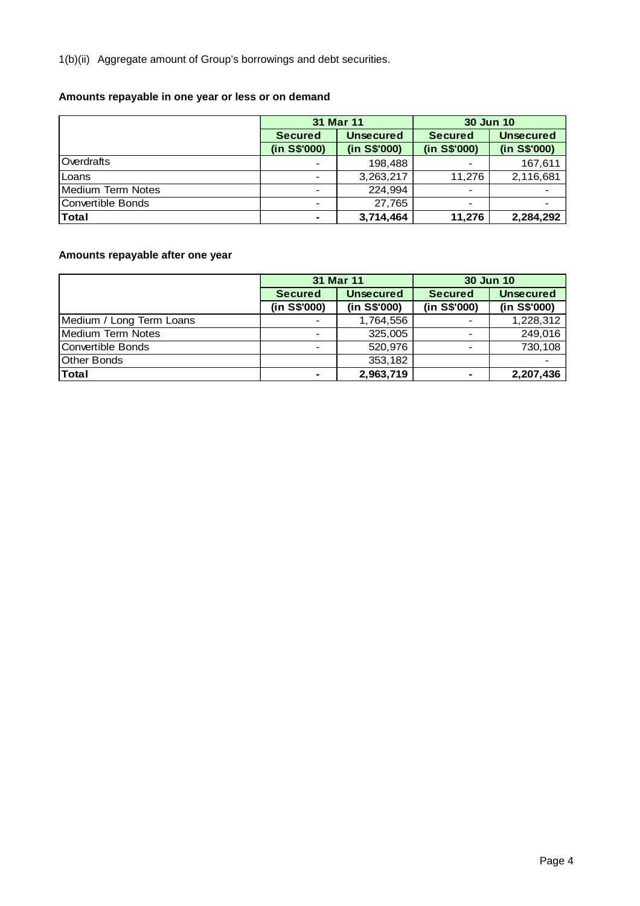1(b)(ii) Aggregate amount of Group's borrowings and debt securities.

# **Amounts repayable in one year or less or on demand**

|                            |                | 31 Mar 11        | <b>30 Jun 10</b>         |                  |  |
|----------------------------|----------------|------------------|--------------------------|------------------|--|
|                            | <b>Secured</b> | <b>Unsecured</b> | <b>Secured</b>           | <b>Unsecured</b> |  |
|                            | (in S\$'000)   | (in S\$'000)     | (in S\$'000)             | (in S\$'000)     |  |
| Overdrafts                 |                | 198,488          |                          | 167,611          |  |
| Loans                      |                | 3,263,217        | 11.276                   | 2,116,681        |  |
| <b>I</b> Medium Term Notes |                | 224,994          | $\overline{\phantom{a}}$ |                  |  |
| Convertible Bonds          |                | 27.765           | $\blacksquare$           |                  |  |
| <b>Total</b>               | -              | 3,714,464        | 11,276                   | 2,284,292        |  |

# **Amounts repayable after one year**

|                          |                          | 31 Mar 11        | 30 Jun 10                |                  |  |
|--------------------------|--------------------------|------------------|--------------------------|------------------|--|
|                          | <b>Secured</b>           | <b>Unsecured</b> | <b>Secured</b>           | <b>Unsecured</b> |  |
|                          | (in S\$'000)             | (in S\$'000)     | (in S\$'000)             | (in S\$'000)     |  |
| Medium / Long Term Loans |                          | 1,764,556        |                          | 1,228,312        |  |
| Medium Term Notes        |                          | 325,005          |                          | 249,016          |  |
| Convertible Bonds        | $\overline{\phantom{0}}$ | 520,976          | $\overline{\phantom{a}}$ | 730,108          |  |
| <b>Other Bonds</b>       |                          | 353,182          |                          |                  |  |
| <b>Total</b>             |                          | 2,963,719        | ۰                        | 2,207,436        |  |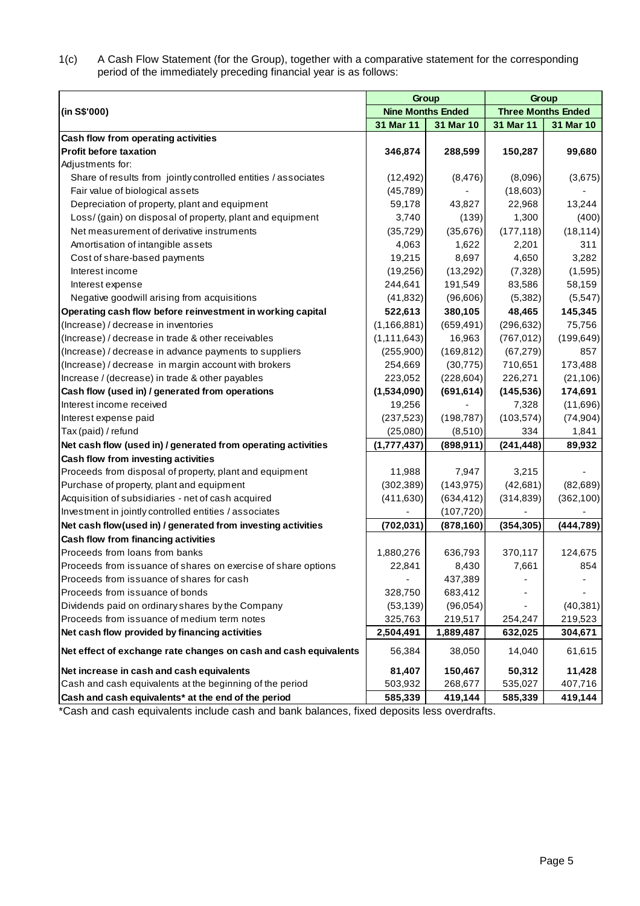1(c) A Cash Flow Statement (for the Group), together with a comparative statement for the corresponding period of the immediately preceding financial year is as follows:

|                                                                  | Group                    |            | Group                     |            |
|------------------------------------------------------------------|--------------------------|------------|---------------------------|------------|
| (in S\$'000)                                                     | <b>Nine Months Ended</b> |            | <b>Three Months Ended</b> |            |
|                                                                  | 31 Mar 11                | 31 Mar 10  | 31 Mar 11                 | 31 Mar 10  |
| Cash flow from operating activities                              |                          |            |                           |            |
| <b>Profit before taxation</b>                                    | 346,874                  | 288,599    | 150,287                   | 99,680     |
| Adjustments for:                                                 |                          |            |                           |            |
| Share of results from jointly controlled entities / associates   | (12, 492)                | (8, 476)   | (8,096)                   | (3,675)    |
| Fair value of biological assets                                  | (45, 789)                |            | (18,603)                  |            |
| Depreciation of property, plant and equipment                    | 59,178                   | 43,827     | 22,968                    | 13,244     |
| Loss/ (gain) on disposal of property, plant and equipment        | 3,740                    | (139)      | 1,300                     | (400)      |
| Net measurement of derivative instruments                        | (35, 729)                | (35, 676)  | (177, 118)                | (18, 114)  |
| Amortisation of intangible assets                                | 4,063                    | 1,622      | 2,201                     | 311        |
| Cost of share-based payments                                     | 19,215                   | 8,697      | 4,650                     | 3,282      |
| Interest income                                                  | (19,256)                 | (13,292)   | (7,328)                   | (1,595)    |
| Interest expense                                                 | 244,641                  | 191,549    | 83,586                    | 58,159     |
| Negative goodwill arising from acquisitions                      | (41, 832)                | (96, 606)  | (5,382)                   | (5,547)    |
| Operating cash flow before reinvestment in working capital       | 522,613                  | 380,105    | 48,465                    | 145,345    |
| (Increase) / decrease in inventories                             | (1, 166, 881)            | (659, 491) | (296, 632)                | 75,756     |
| (Increase) / decrease in trade & other receivables               | (1, 111, 643)            | 16,963     | (767, 012)                | (199, 649) |
| (Increase) / decrease in advance payments to suppliers           | (255,900)                | (169, 812) | (67, 279)                 | 857        |
| (Increase) / decrease in margin account with brokers             | 254,669                  | (30, 775)  | 710,651                   | 173,488    |
| Increase / (decrease) in trade & other payables                  | 223,052                  | (228, 604) | 226,271                   | (21, 106)  |
| Cash flow (used in) / generated from operations                  | (1,534,090)              | (691, 614) | (145, 536)                | 174,691    |
| Interest income received                                         | 19,256                   |            | 7,328                     | (11,696)   |
| Interest expense paid                                            | (237, 523)               | (198, 787) | (103, 574)                | (74, 904)  |
| Tax (paid) / refund                                              | (25,080)                 | (8,510)    | 334                       | 1,841      |
| Net cash flow (used in) / generated from operating activities    | (1,777,437)              | (898, 911) | (241, 448)                | 89,932     |
| Cash flow from investing activities                              |                          |            |                           |            |
| Proceeds from disposal of property, plant and equipment          | 11,988                   | 7,947      | 3,215                     |            |
| Purchase of property, plant and equipment                        | (302, 389)               | (143, 975) | (42, 681)                 | (82, 689)  |
| Acquisition of subsidiaries - net of cash acquired               | (411, 630)               | (634, 412) | (314, 839)                | (362, 100) |
| Investment in jointly controlled entities / associates           |                          | (107, 720) |                           |            |
| Net cash flow(used in) / generated from investing activities     | (702, 031)               | (878, 160) | (354, 305)                | (444, 789) |
| Cash flow from financing activities                              |                          |            |                           |            |
| Proceeds from loans from banks                                   | 1,880,276                | 636,793    | 370,117                   | 124,675    |
| Proceeds from issuance of shares on exercise of share options    | 22,841                   | 8,430      | 7,661                     | 854        |
| Proceeds from issuance of shares for cash                        |                          | 437,389    |                           |            |
| Proceeds from issuance of bonds                                  | 328,750                  | 683,412    |                           |            |
| Dividends paid on ordinary shares by the Company                 | (53, 139)                | (96,054)   |                           | (40, 381)  |
| Proceeds from issuance of medium term notes                      | 325,763                  | 219,517    | 254,247                   | 219,523    |
| Net cash flow provided by financing activities                   | 2,504,491                | 1,889,487  | 632,025                   | 304,671    |
| Net effect of exchange rate changes on cash and cash equivalents | 56,384                   | 38,050     | 14,040                    | 61,615     |
| Net increase in cash and cash equivalents                        | 81,407                   | 150,467    | 50,312                    | 11,428     |
| Cash and cash equivalents at the beginning of the period         | 503,932                  | 268,677    | 535,027                   | 407,716    |
| Cash and cash equivalents* at the end of the period              | 585,339                  | 419,144    | 585,339                   | 419,144    |

\*Cash and cash equivalents include cash and bank balances, fixed deposits less overdrafts.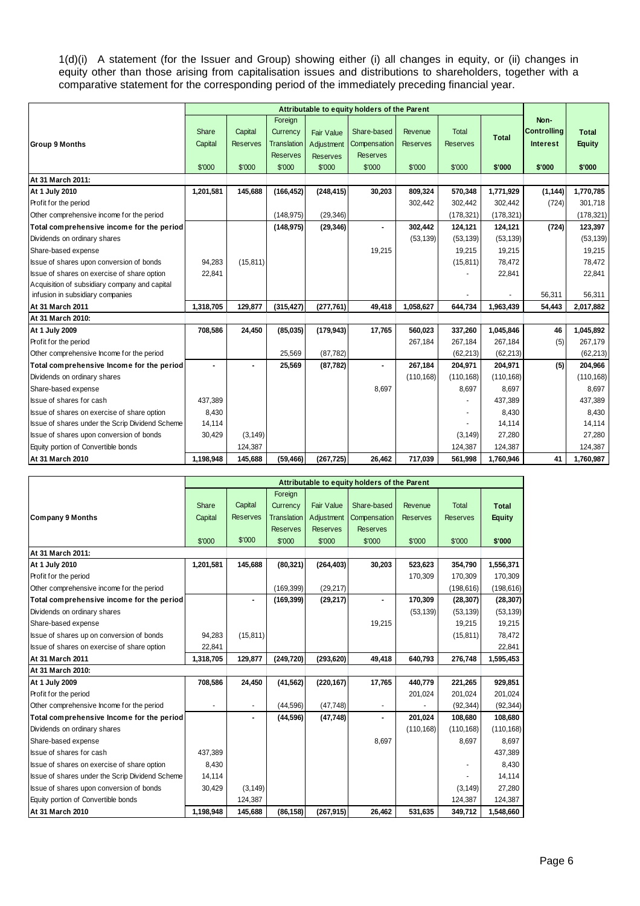1(d)(i) A statement (for the Issuer and Group) showing either (i) all changes in equity, or (ii) changes in equity other than those arising from capitalisation issues and distributions to shareholders, together with a comparative statement for the corresponding period of the immediately preceding financial year.

|                                                 |           | Attributable to equity holders of the Parent |                    |                 |                 |                 |                 |              |                    |               |
|-------------------------------------------------|-----------|----------------------------------------------|--------------------|-----------------|-----------------|-----------------|-----------------|--------------|--------------------|---------------|
|                                                 |           |                                              | Foreign            |                 |                 |                 |                 |              | Non-               |               |
|                                                 | Share     | Capital                                      | Currency           | Fair Value      | Share-based     | Revenue         | <b>Total</b>    | <b>Total</b> | <b>Controlling</b> | <b>Total</b>  |
| <b>Group 9 Months</b>                           | Capital   | <b>Reserves</b>                              | <b>Translation</b> | Adjustment      | Compensation    | <b>Reserves</b> | <b>Reserves</b> |              | <b>Interest</b>    | <b>Equity</b> |
|                                                 |           |                                              | <b>Reserves</b>    | <b>Reserves</b> | <b>Reserves</b> |                 |                 |              |                    |               |
|                                                 | \$'000    | \$'000                                       | \$'000             | \$'000          | \$'000          | \$'000          | \$'000          | \$'000       | \$'000             | \$'000        |
| At 31 March 2011:                               |           |                                              |                    |                 |                 |                 |                 |              |                    |               |
| At 1 July 2010                                  | 1,201,581 | 145,688                                      | (166, 452)         | (248, 415)      | 30,203          | 809,324         | 570,348         | 1,771,929    | (1, 144)           | 1,770,785     |
| Profit for the period                           |           |                                              |                    |                 |                 | 302,442         | 302,442         | 302,442      | (724)              | 301,718       |
| Other comprehensive income for the period       |           |                                              | (148.975)          | (29, 346)       |                 |                 | (178, 321)      | (178, 321)   |                    | (178, 321)    |
| Total comprehensive income for the period       |           |                                              | (148, 975)         | (29, 346)       |                 | 302,442         | 124,121         | 124,121      | (724)              | 123,397       |
| Dividends on ordinary shares                    |           |                                              |                    |                 |                 | (53, 139)       | (53, 139)       | (53, 139)    |                    | (53, 139)     |
| Share-based expense                             |           |                                              |                    |                 | 19,215          |                 | 19,215          | 19,215       |                    | 19,215        |
| Issue of shares upon conversion of bonds        | 94,283    | (15, 811)                                    |                    |                 |                 |                 | (15, 811)       | 78,472       |                    | 78.472        |
| Issue of shares on exercise of share option     | 22,841    |                                              |                    |                 |                 |                 |                 | 22,841       |                    | 22,841        |
| Acquisition of subsidiary company and capital   |           |                                              |                    |                 |                 |                 |                 |              |                    |               |
| infusion in subsidiary companies                |           |                                              |                    |                 |                 |                 |                 |              | 56,311             | 56.311        |
| At 31 March 2011                                | 1,318,705 | 129.877                                      | (315, 427)         | (277, 761)      | 49,418          | 1.058.627       | 644.734         | 1,963,439    | 54,443             | 2,017,882     |
| At 31 March 2010:                               |           |                                              |                    |                 |                 |                 |                 |              |                    |               |
| At 1 July 2009                                  | 708,586   | 24,450                                       | (85,035)           | (179, 943)      | 17,765          | 560,023         | 337,260         | 1,045,846    | 46                 | 1,045,892     |
| Profit for the period                           |           |                                              |                    |                 |                 | 267,184         | 267,184         | 267,184      | (5)                | 267,179       |
| Other comprehensive Income for the period       |           |                                              | 25,569             | (87, 782)       |                 |                 | (62, 213)       | (62, 213)    |                    | (62, 213)     |
| Total comprehensive Income for the period       |           |                                              | 25,569             | (87, 782)       |                 | 267,184         | 204,971         | 204,971      | (5)                | 204,966       |
| Dividends on ordinary shares                    |           |                                              |                    |                 |                 | (110, 168)      | (110, 168)      | (110, 168)   |                    | (110, 168)    |
| Share-based expense                             |           |                                              |                    |                 | 8.697           |                 | 8.697           | 8.697        |                    | 8.697         |
| Issue of shares for cash                        | 437,389   |                                              |                    |                 |                 |                 |                 | 437,389      |                    | 437,389       |
| Issue of shares on exercise of share option     | 8,430     |                                              |                    |                 |                 |                 |                 | 8,430        |                    | 8,430         |
| Issue of shares under the Scrip Dividend Scheme | 14,114    |                                              |                    |                 |                 |                 |                 | 14,114       |                    | 14,114        |
| Issue of shares upon conversion of bonds        | 30,429    | (3, 149)                                     |                    |                 |                 |                 | (3, 149)        | 27,280       |                    | 27,280        |
| Equity portion of Convertible bonds             |           | 124,387                                      |                    |                 |                 |                 | 124,387         | 124,387      |                    | 124,387       |
| At 31 March 2010                                | 1,198,948 | 145,688                                      | (59, 466)          | (267, 725)      | 26,462          | 717,039         | 561,998         | 1,760,946    | 41                 | 1,760,987     |

|                                                 |           |                          |                    |                   | Attributable to equity holders of the Parent |                 |                 |               |
|-------------------------------------------------|-----------|--------------------------|--------------------|-------------------|----------------------------------------------|-----------------|-----------------|---------------|
|                                                 |           |                          | Foreign            |                   |                                              |                 |                 |               |
|                                                 | Share     | Capital                  | Currency           | <b>Fair Value</b> | Share-based                                  | Revenue         | <b>Total</b>    | <b>Total</b>  |
| <b>Company 9 Months</b>                         | Capital   | <b>Reserves</b>          | <b>Translation</b> | Adjustment        | Compensation                                 | <b>Reserves</b> | <b>Reserves</b> | <b>Equity</b> |
|                                                 |           |                          | <b>Reserves</b>    | <b>Reserves</b>   | <b>Reserves</b>                              |                 |                 |               |
|                                                 | \$'000    | \$'000                   | \$'000             | \$'000            | \$'000                                       | \$'000          | \$'000          | \$'000        |
| At 31 March 2011:                               |           |                          |                    |                   |                                              |                 |                 |               |
| At 1 July 2010                                  | 1,201,581 | 145,688                  | (80, 321)          | (264, 403)        | 30,203                                       | 523,623         | 354,790         | 1,556,371     |
| Profit for the period                           |           |                          |                    |                   |                                              | 170,309         | 170,309         | 170,309       |
| Other comprehensive income for the period       |           |                          | (169, 399)         | (29, 217)         |                                              |                 | (198, 616)      | (198, 616)    |
| Total comprehensive income for the period       |           | ä,                       | (169, 399)         | (29, 217)         |                                              | 170,309         | (28, 307)       | (28, 307)     |
| Dividends on ordinary shares                    |           |                          |                    |                   |                                              | (53, 139)       | (53, 139)       | (53, 139)     |
| Share-based expense                             |           |                          |                    |                   | 19,215                                       |                 | 19,215          | 19,215        |
| Issue of shares up on conversion of bonds       | 94,283    | (15, 811)                |                    |                   |                                              |                 | (15, 811)       | 78,472        |
| Issue of shares on exercise of share option     | 22,841    |                          |                    |                   |                                              |                 |                 | 22,841        |
| At 31 March 2011                                | 1,318,705 | 129,877                  | (249, 720)         | (293, 620)        | 49,418                                       | 640,793         | 276,748         | 1,595,453     |
| At 31 March 2010:                               |           |                          |                    |                   |                                              |                 |                 |               |
| At 1 July 2009                                  | 708,586   | 24,450                   | (41, 562)          | (220, 167)        | 17,765                                       | 440,779         | 221,265         | 929,851       |
| Profit for the period                           |           |                          |                    |                   |                                              | 201,024         | 201,024         | 201,024       |
| Other comprehensive Income for the period       |           | $\overline{\phantom{a}}$ | (44, 596)          | (47, 748)         | $\blacksquare$                               |                 | (92, 344)       | (92, 344)     |
| Total comprehensive Income for the period       |           | ٠                        | (44, 596)          | (47, 748)         | ٠                                            | 201,024         | 108,680         | 108,680       |
| Dividends on ordinary shares                    |           |                          |                    |                   |                                              | (110, 168)      | (110, 168)      | (110, 168)    |
| Share-based expense                             |           |                          |                    |                   | 8,697                                        |                 | 8,697           | 8,697         |
| Issue of shares for cash                        | 437,389   |                          |                    |                   |                                              |                 |                 | 437,389       |
| Issue of shares on exercise of share option     | 8,430     |                          |                    |                   |                                              |                 |                 | 8,430         |
| Issue of shares under the Scrip Dividend Scheme | 14,114    |                          |                    |                   |                                              |                 |                 | 14,114        |
| Issue of shares upon conversion of bonds        | 30,429    | (3, 149)                 |                    |                   |                                              |                 | (3, 149)        | 27,280        |
| Equity portion of Convertible bonds             |           | 124,387                  |                    |                   |                                              |                 | 124,387         | 124,387       |
| At 31 March 2010                                | 1,198,948 | 145.688                  | (86, 158)          | (267, 915)        | 26,462                                       | 531,635         | 349,712         | 1,548,660     |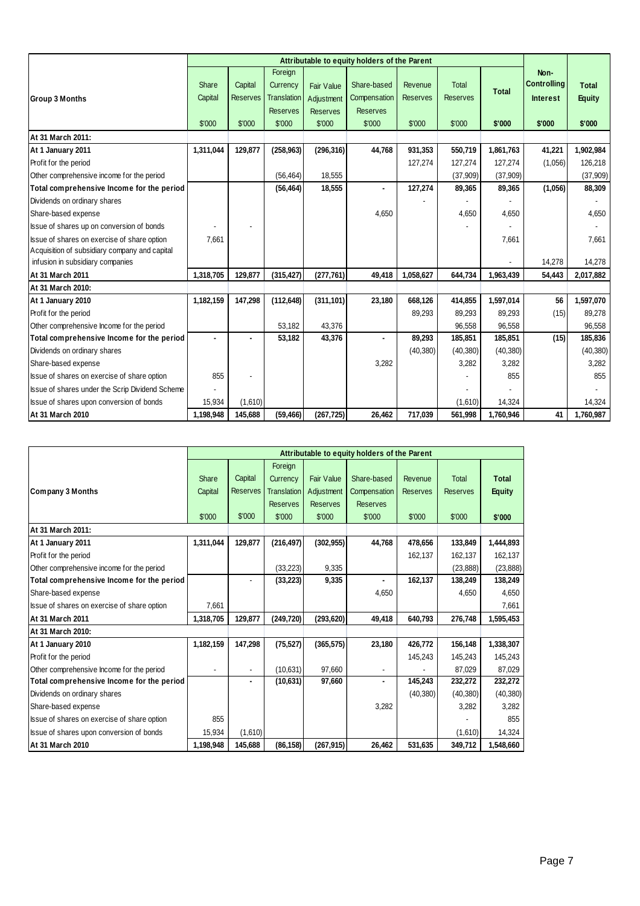|                                                 |           | Attributable to equity holders of the Parent |                    |                   |                 |                 |                 |              |                    |               |
|-------------------------------------------------|-----------|----------------------------------------------|--------------------|-------------------|-----------------|-----------------|-----------------|--------------|--------------------|---------------|
|                                                 |           |                                              | Foreign            |                   |                 |                 |                 |              | Non-               |               |
|                                                 | Share     | Capital                                      | Currency           | <b>Fair Value</b> | Share-based     | Revenue         | <b>Total</b>    | <b>Total</b> | <b>Controlling</b> | <b>Total</b>  |
| <b>Group 3 Months</b>                           | Capital   | <b>Reserves</b>                              | <b>Translation</b> | Adjustment        | Compensation    | <b>Reserves</b> | <b>Reserves</b> |              | <b>Interest</b>    | <b>Equity</b> |
|                                                 |           |                                              | <b>Reserves</b>    | <b>Reserves</b>   | <b>Reserves</b> |                 |                 |              |                    |               |
|                                                 | \$'000    | \$'000                                       | \$'000             | \$'000            | \$'000          | \$'000          | \$'000          | \$'000       | \$'000             | \$'000        |
| At 31 March 2011:                               |           |                                              |                    |                   |                 |                 |                 |              |                    |               |
| At 1 January 2011                               | 1,311,044 | 129,877                                      | (258, 963)         | (296, 316)        | 44,768          | 931,353         | 550,719         | 1,861,763    | 41,221             | 1,902,984     |
| Profit for the period                           |           |                                              |                    |                   |                 | 127,274         | 127,274         | 127,274      | (1,056)            | 126,218       |
| Other comprehensive income for the period       |           |                                              | (56, 464)          | 18,555            |                 |                 | (37,909)        | (37,909)     |                    | (37,909)      |
| Total comprehensive Income for the period       |           |                                              | (56, 464)          | 18,555            |                 | 127,274         | 89,365          | 89,365       | (1,056)            | 88,309        |
| Dividends on ordinary shares                    |           |                                              |                    |                   |                 |                 |                 |              |                    |               |
| Share-based expense                             |           |                                              |                    |                   | 4,650           |                 | 4,650           | 4,650        |                    | 4,650         |
| Issue of shares up on conversion of bonds       |           |                                              |                    |                   |                 |                 |                 |              |                    |               |
| Issue of shares on exercise of share option     | 7,661     |                                              |                    |                   |                 |                 |                 | 7,661        |                    | 7,661         |
| Acquisition of subsidiary company and capital   |           |                                              |                    |                   |                 |                 |                 |              |                    |               |
| infusion in subsidiary companies                |           |                                              |                    |                   |                 |                 |                 |              | 14,278             | 14,278        |
| At 31 March 2011                                | 1,318,705 | 129,877                                      | (315, 427)         | (277, 761)        | 49,418          | 1,058,627       | 644,734         | 1,963,439    | 54,443             | 2,017,882     |
| At 31 March 2010:                               |           |                                              |                    |                   |                 |                 |                 |              |                    |               |
| At 1 January 2010                               | 1,182,159 | 147,298                                      | (112, 648)         | (311, 101)        | 23,180          | 668,126         | 414,855         | 1,597,014    | 56                 | 1,597,070     |
| Profit for the period                           |           |                                              |                    |                   |                 | 89,293          | 89,293          | 89,293       | (15)               | 89,278        |
| Other comprehensive Income for the period       |           |                                              | 53,182             | 43,376            |                 |                 | 96,558          | 96,558       |                    | 96,558        |
| Total comprehensive Income for the period       |           |                                              | 53,182             | 43,376            |                 | 89,293          | 185,851         | 185,851      | (15)               | 185,836       |
| Dividends on ordinary shares                    |           |                                              |                    |                   |                 | (40, 380)       | (40, 380)       | (40, 380)    |                    | (40, 380)     |
| Share-based expense                             |           |                                              |                    |                   | 3,282           |                 | 3,282           | 3,282        |                    | 3,282         |
| Issue of shares on exercise of share option     | 855       |                                              |                    |                   |                 |                 |                 | 855          |                    | 855           |
| Issue of shares under the Scrip Dividend Scheme |           |                                              |                    |                   |                 |                 |                 |              |                    |               |
| Issue of shares upon conversion of bonds        | 15,934    | (1,610)                                      |                    |                   |                 |                 | (1,610)         | 14,324       |                    | 14,324        |
| At 31 March 2010                                | 1,198,948 | 145,688                                      | (59, 466)          | (267, 725)        | 26,462          | 717,039         | 561,998         | 1,760,946    | 41                 | 1,760,987     |

|                                             | Attributable to equity holders of the Parent |                 |                    |                   |                 |                 |                 |               |
|---------------------------------------------|----------------------------------------------|-----------------|--------------------|-------------------|-----------------|-----------------|-----------------|---------------|
|                                             |                                              |                 | Foreign            |                   |                 |                 |                 |               |
|                                             | Share                                        | Capital         | Currency           | <b>Fair Value</b> | Share-based     | Revenue         | <b>Total</b>    | <b>Total</b>  |
| Company 3 Months                            | Capital                                      | <b>Reserves</b> | <b>Translation</b> | Adjustment        | Compensation    | <b>Reserves</b> | <b>Reserves</b> | <b>Equity</b> |
|                                             |                                              |                 | <b>Reserves</b>    | <b>Reserves</b>   | <b>Reserves</b> |                 |                 |               |
|                                             | \$'000                                       | \$'000          | \$'000             | \$'000            | \$'000          | \$'000          | \$'000          | \$'000        |
| At 31 March 2011:                           |                                              |                 |                    |                   |                 |                 |                 |               |
| At 1 January 2011                           | 1,311,044                                    | 129,877         | (216, 497)         | (302, 955)        | 44,768          | 478,656         | 133,849         | 1,444,893     |
| Profit for the period                       |                                              |                 |                    |                   |                 | 162,137         | 162,137         | 162,137       |
| Other comprehensive income for the period   |                                              |                 | (33, 223)          | 9,335             |                 |                 | (23, 888)       | (23, 888)     |
| Total comprehensive Income for the period   |                                              |                 | (33, 223)          | 9,335             |                 | 162,137         | 138,249         | 138,249       |
| Share-based expense                         |                                              |                 |                    |                   | 4,650           |                 | 4,650           | 4,650         |
| Issue of shares on exercise of share option | 7,661                                        |                 |                    |                   |                 |                 |                 | 7,661         |
| At 31 March 2011                            | 1,318,705                                    | 129,877         | (249, 720)         | (293, 620)        | 49,418          | 640,793         | 276,748         | 1,595,453     |
| At 31 March 2010:                           |                                              |                 |                    |                   |                 |                 |                 |               |
| At 1 January 2010                           | 1,182,159                                    | 147,298         | (75, 527)          | (365, 575)        | 23,180          | 426,772         | 156,148         | 1,338,307     |
| Profit for the period                       |                                              |                 |                    |                   |                 | 145,243         | 145,243         | 145,243       |
| Other comprehensive Income for the period   |                                              |                 | (10, 631)          | 97,660            |                 |                 | 87,029          | 87,029        |
| Total comprehensive Income for the period   |                                              |                 | (10, 631)          | 97,660            |                 | 145,243         | 232,272         | 232,272       |
| Dividends on ordinary shares                |                                              |                 |                    |                   |                 | (40, 380)       | (40, 380)       | (40, 380)     |
| Share-based expense                         |                                              |                 |                    |                   | 3,282           |                 | 3,282           | 3,282         |
| Issue of shares on exercise of share option | 855                                          |                 |                    |                   |                 |                 |                 | 855           |
| Issue of shares upon conversion of bonds    | 15,934                                       | (1,610)         |                    |                   |                 |                 | (1,610)         | 14,324        |
| At 31 March 2010                            | 1,198,948                                    | 145,688         | (86, 158)          | (267, 915)        | 26,462          | 531,635         | 349,712         | 1,548,660     |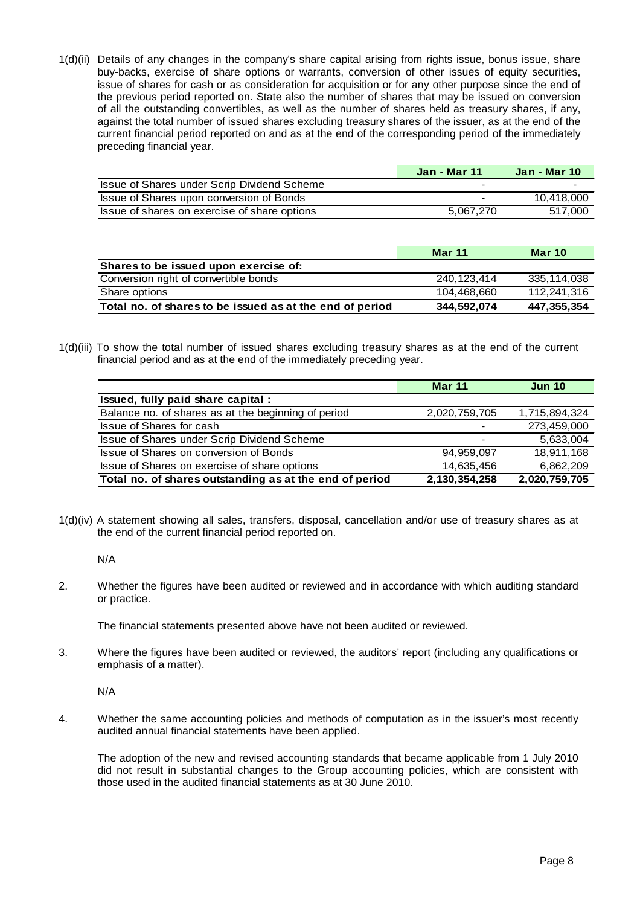1(d)(ii) Details of any changes in the company's share capital arising from rights issue, bonus issue, share buy-backs, exercise of share options or warrants, conversion of other issues of equity securities, issue of shares for cash or as consideration for acquisition or for any other purpose since the end of the previous period reported on. State also the number of shares that may be issued on conversion of all the outstanding convertibles, as well as the number of shares held as treasury shares, if any, against the total number of issued shares excluding treasury shares of the issuer, as at the end of the current financial period reported on and as at the end of the corresponding period of the immediately preceding financial year.

|                                                    | <b>Jan - Mar 11</b> | <b>Jan - Mar 10</b> |
|----------------------------------------------------|---------------------|---------------------|
| <b>Issue of Shares under Scrip Dividend Scheme</b> | -                   |                     |
| Issue of Shares upon conversion of Bonds           | -                   | 10,418,000          |
| Issue of shares on exercise of share options       | 5.067.270           | 517.000             |

|                                                          | <b>Mar 11</b> | <b>Mar 10</b> |
|----------------------------------------------------------|---------------|---------------|
| Shares to be issued upon exercise of:                    |               |               |
| Conversion right of convertible bonds                    | 240.123.414   | 335,114,038   |
| Share options                                            | 104.468.660   | 112.241.316   |
| Total no. of shares to be issued as at the end of period | 344.592.074   | 447,355,354   |

1(d)(iii) To show the total number of issued shares excluding treasury shares as at the end of the current financial period and as at the end of the immediately preceding year.

|                                                         | <b>Mar 11</b> | <b>Jun 10</b> |
|---------------------------------------------------------|---------------|---------------|
| Issued, fully paid share capital:                       |               |               |
| Balance no. of shares as at the beginning of period     | 2,020,759,705 | 1,715,894,324 |
| <b>Issue of Shares for cash</b>                         |               | 273,459,000   |
| Issue of Shares under Scrip Dividend Scheme             |               | 5,633,004     |
| Issue of Shares on conversion of Bonds                  | 94,959,097    | 18,911,168    |
| Issue of Shares on exercise of share options            | 14,635,456    | 6,862,209     |
| Total no. of shares outstanding as at the end of period | 2,130,354,258 | 2,020,759,705 |

1(d)(iv) A statement showing all sales, transfers, disposal, cancellation and/or use of treasury shares as at the end of the current financial period reported on.

N/A

2. Whether the figures have been audited or reviewed and in accordance with which auditing standard or practice.

The financial statements presented above have not been audited or reviewed.

3. Where the figures have been audited or reviewed, the auditors' report (including any qualifications or emphasis of a matter).

N/A

4. Whether the same accounting policies and methods of computation as in the issuer's most recently audited annual financial statements have been applied.

 The adoption of the new and revised accounting standards that became applicable from 1 July 2010 did not result in substantial changes to the Group accounting policies, which are consistent with those used in the audited financial statements as at 30 June 2010.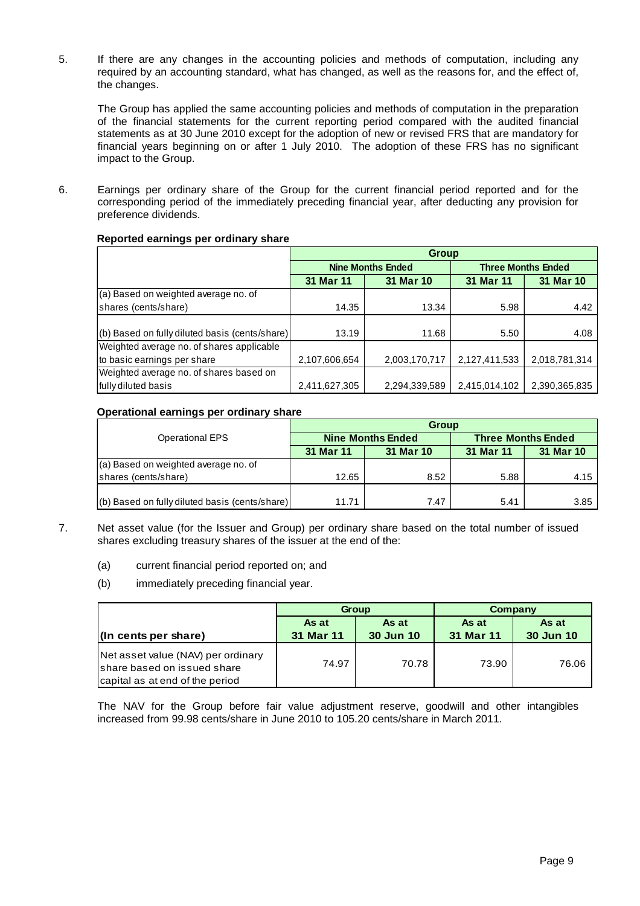5. If there are any changes in the accounting policies and methods of computation, including any required by an accounting standard, what has changed, as well as the reasons for, and the effect of, the changes.

 The Group has applied the same accounting policies and methods of computation in the preparation of the financial statements for the current reporting period compared with the audited financial statements as at 30 June 2010 except for the adoption of new or revised FRS that are mandatory for financial years beginning on or after 1 July 2010. The adoption of these FRS has no significant impact to the Group.

6. Earnings per ordinary share of the Group for the current financial period reported and for the corresponding period of the immediately preceding financial year, after deducting any provision for preference dividends.

| Reported earnings per ordinary share |  |  |
|--------------------------------------|--|--|
|                                      |  |  |

|                                                | <b>Group</b>  |                          |               |                           |  |  |  |
|------------------------------------------------|---------------|--------------------------|---------------|---------------------------|--|--|--|
|                                                |               | <b>Nine Months Ended</b> |               | <b>Three Months Ended</b> |  |  |  |
|                                                | 31 Mar 11     | 31 Mar 10                |               | 31 Mar 10                 |  |  |  |
| (a) Based on weighted average no. of           |               |                          |               |                           |  |  |  |
| shares (cents/share)                           | 14.35         | 13.34                    | 5.98          | 4.42                      |  |  |  |
|                                                |               |                          |               |                           |  |  |  |
| (b) Based on fully diluted basis (cents/share) | 13.19         | 11.68                    | 5.50          | 4.08                      |  |  |  |
| Weighted average no. of shares applicable      |               |                          |               |                           |  |  |  |
| to basic earnings per share                    | 2,107,606,654 | 2,003,170,717            | 2,127,411,533 | 2,018,781,314             |  |  |  |
| Weighted average no. of shares based on        |               |                          |               |                           |  |  |  |
| fully diluted basis                            | 2,411,627,305 | 2,294,339,589            | 2,415,014,102 | 2,390,365,835             |  |  |  |

## **Operational earnings per ordinary share**

|                                                | <b>Group</b> |                          |                           |           |  |  |  |
|------------------------------------------------|--------------|--------------------------|---------------------------|-----------|--|--|--|
| <b>Operational EPS</b>                         |              | <b>Nine Months Ended</b> | <b>Three Months Ended</b> |           |  |  |  |
|                                                | 31 Mar 11    | 31 Mar 10                | 31 Mar 11                 | 31 Mar 10 |  |  |  |
| (a) Based on weighted average no. of           |              |                          |                           |           |  |  |  |
| shares (cents/share)                           | 12.65        | 8.52                     | 5.88                      | 4.15      |  |  |  |
|                                                |              |                          |                           |           |  |  |  |
| (b) Based on fully diluted basis (cents/share) | 11.71        | 7.47                     | 5.41                      | 3.85      |  |  |  |

- 7. Net asset value (for the Issuer and Group) per ordinary share based on the total number of issued shares excluding treasury shares of the issuer at the end of the:
	- (a) current financial period reported on; and
	- (b) immediately preceding financial year.

|                                                                                                       |           | <b>Group</b>     | Company   |           |  |
|-------------------------------------------------------------------------------------------------------|-----------|------------------|-----------|-----------|--|
|                                                                                                       | As at     | As at            | As at     | As at     |  |
| $\vert$ (In cents per share)                                                                          | 31 Mar 11 | <b>30 Jun 10</b> | 31 Mar 11 | 30 Jun 10 |  |
| Net asset value (NAV) per ordinary<br>Ishare based on issued share<br>capital as at end of the period | 74.97     | 70.78            | 73.90     | 76.06     |  |

The NAV for the Group before fair value adjustment reserve, goodwill and other intangibles increased from 99.98 cents/share in June 2010 to 105.20 cents/share in March 2011.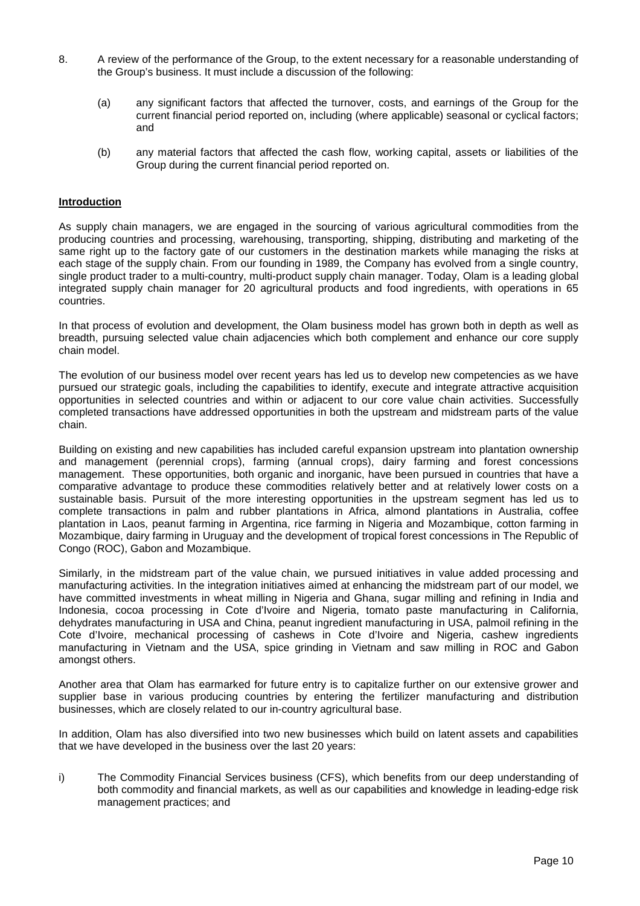- 8. A review of the performance of the Group, to the extent necessary for a reasonable understanding of the Group's business. It must include a discussion of the following:
	- (a) any significant factors that affected the turnover, costs, and earnings of the Group for the current financial period reported on, including (where applicable) seasonal or cyclical factors; and
	- (b) any material factors that affected the cash flow, working capital, assets or liabilities of the Group during the current financial period reported on.

## **Introduction**

As supply chain managers, we are engaged in the sourcing of various agricultural commodities from the producing countries and processing, warehousing, transporting, shipping, distributing and marketing of the same right up to the factory gate of our customers in the destination markets while managing the risks at each stage of the supply chain. From our founding in 1989, the Company has evolved from a single country, single product trader to a multi-country, multi-product supply chain manager. Today, Olam is a leading global integrated supply chain manager for 20 agricultural products and food ingredients, with operations in 65 countries.

In that process of evolution and development, the Olam business model has grown both in depth as well as breadth, pursuing selected value chain adjacencies which both complement and enhance our core supply chain model.

The evolution of our business model over recent years has led us to develop new competencies as we have pursued our strategic goals, including the capabilities to identify, execute and integrate attractive acquisition opportunities in selected countries and within or adjacent to our core value chain activities. Successfully completed transactions have addressed opportunities in both the upstream and midstream parts of the value chain.

Building on existing and new capabilities has included careful expansion upstream into plantation ownership and management (perennial crops), farming (annual crops), dairy farming and forest concessions management. These opportunities, both organic and inorganic, have been pursued in countries that have a comparative advantage to produce these commodities relatively better and at relatively lower costs on a sustainable basis. Pursuit of the more interesting opportunities in the upstream segment has led us to complete transactions in palm and rubber plantations in Africa, almond plantations in Australia, coffee plantation in Laos, peanut farming in Argentina, rice farming in Nigeria and Mozambique, cotton farming in Mozambique, dairy farming in Uruguay and the development of tropical forest concessions in The Republic of Congo (ROC), Gabon and Mozambique.

Similarly, in the midstream part of the value chain, we pursued initiatives in value added processing and manufacturing activities. In the integration initiatives aimed at enhancing the midstream part of our model, we have committed investments in wheat milling in Nigeria and Ghana, sugar milling and refining in India and Indonesia, cocoa processing in Cote d'Ivoire and Nigeria, tomato paste manufacturing in California, dehydrates manufacturing in USA and China, peanut ingredient manufacturing in USA, palmoil refining in the Cote d'Ivoire, mechanical processing of cashews in Cote d'Ivoire and Nigeria, cashew ingredients manufacturing in Vietnam and the USA, spice grinding in Vietnam and saw milling in ROC and Gabon amongst others.

Another area that Olam has earmarked for future entry is to capitalize further on our extensive grower and supplier base in various producing countries by entering the fertilizer manufacturing and distribution businesses, which are closely related to our in-country agricultural base.

In addition, Olam has also diversified into two new businesses which build on latent assets and capabilities that we have developed in the business over the last 20 years:

i) The Commodity Financial Services business (CFS), which benefits from our deep understanding of both commodity and financial markets, as well as our capabilities and knowledge in leading-edge risk management practices; and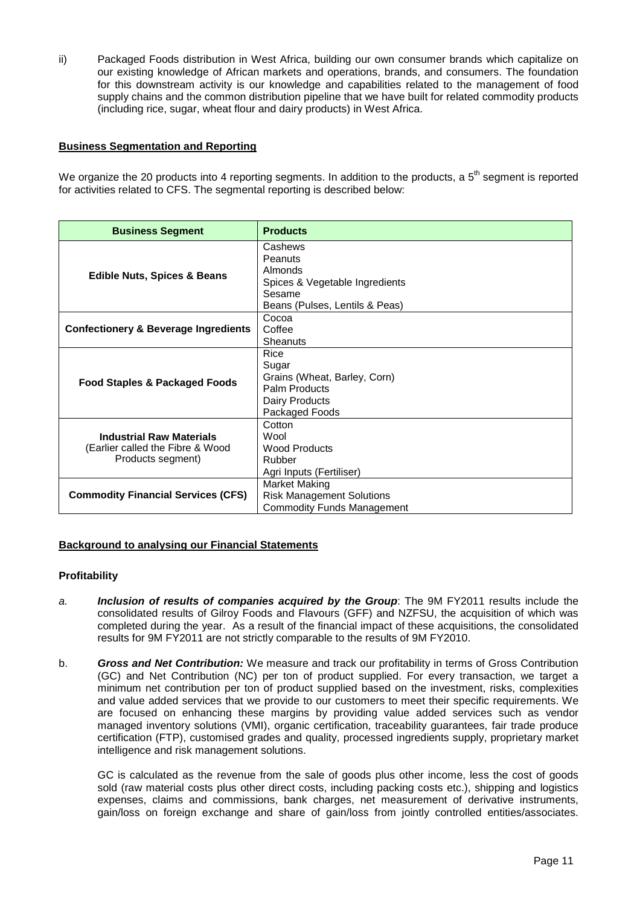ii) Packaged Foods distribution in West Africa, building our own consumer brands which capitalize on our existing knowledge of African markets and operations, brands, and consumers. The foundation for this downstream activity is our knowledge and capabilities related to the management of food supply chains and the common distribution pipeline that we have built for related commodity products (including rice, sugar, wheat flour and dairy products) in West Africa.

## **Business Segmentation and Reporting**

We organize the 20 products into 4 reporting segments. In addition to the products, a  $5<sup>th</sup>$  segment is reported for activities related to CFS. The segmental reporting is described below:

| <b>Business Segment</b>                                                                  | <b>Products</b>                                                                                             |
|------------------------------------------------------------------------------------------|-------------------------------------------------------------------------------------------------------------|
| <b>Edible Nuts, Spices &amp; Beans</b>                                                   | Cashews<br>Peanuts<br>Almonds<br>Spices & Vegetable Ingredients<br>Sesame<br>Beans (Pulses, Lentils & Peas) |
| <b>Confectionery &amp; Beverage Ingredients</b>                                          | Cocoa<br>Coffee<br>Sheanuts                                                                                 |
| Food Staples & Packaged Foods                                                            | Rice<br>Sugar<br>Grains (Wheat, Barley, Corn)<br>Palm Products<br>Dairy Products<br>Packaged Foods          |
| <b>Industrial Raw Materials</b><br>(Earlier called the Fibre & Wood<br>Products segment) | Cotton<br>Wool<br>Wood Products<br>Rubber<br>Agri Inputs (Fertiliser)                                       |
| <b>Commodity Financial Services (CFS)</b>                                                | Market Making<br><b>Risk Management Solutions</b><br><b>Commodity Funds Management</b>                      |

## **Background to analysing our Financial Statements**

#### **Profitability**

- a. **Inclusion of results of companies acquired by the Group**: The 9M FY2011 results include the consolidated results of Gilroy Foods and Flavours (GFF) and NZFSU, the acquisition of which was completed during the year. As a result of the financial impact of these acquisitions, the consolidated results for 9M FY2011 are not strictly comparable to the results of 9M FY2010.
- b. **Gross and Net Contribution:** We measure and track our profitability in terms of Gross Contribution (GC) and Net Contribution (NC) per ton of product supplied. For every transaction, we target a minimum net contribution per ton of product supplied based on the investment, risks, complexities and value added services that we provide to our customers to meet their specific requirements. We are focused on enhancing these margins by providing value added services such as vendor managed inventory solutions (VMI), organic certification, traceability guarantees, fair trade produce certification (FTP), customised grades and quality, processed ingredients supply, proprietary market intelligence and risk management solutions.

GC is calculated as the revenue from the sale of goods plus other income, less the cost of goods sold (raw material costs plus other direct costs, including packing costs etc.), shipping and logistics expenses, claims and commissions, bank charges, net measurement of derivative instruments, gain/loss on foreign exchange and share of gain/loss from jointly controlled entities/associates.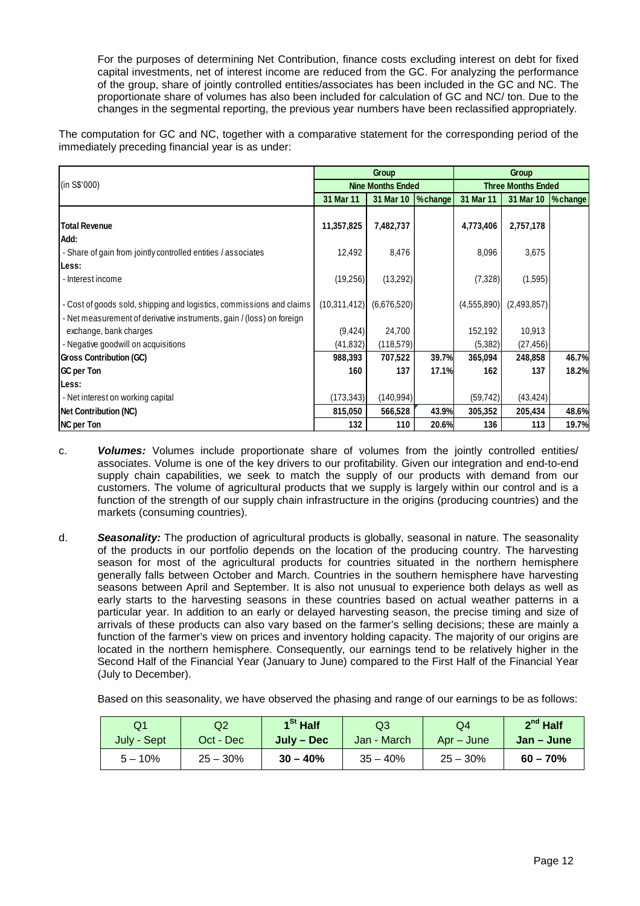For the purposes of determining Net Contribution, finance costs excluding interest on debt for fixed capital investments, net of interest income are reduced from the GC. For analyzing the performance of the group, share of jointly controlled entities/associates has been included in the GC and NC. The proportionate share of volumes has also been included for calculation of GC and NC/ ton. Due to the changes in the segmental reporting, the previous year numbers have been reclassified appropriately.

The computation for GC and NC, together with a comparative statement for the corresponding period of the immediately preceding financial year is as under:

|                                                                       |              | Group                    |          | Group                     |             |                    |  |
|-----------------------------------------------------------------------|--------------|--------------------------|----------|---------------------------|-------------|--------------------|--|
| (in S\$'000)                                                          |              | <b>Nine Months Ended</b> |          | <b>Three Months Ended</b> |             |                    |  |
|                                                                       | 31 Mar 11    | 31 Mar 10                | % change | 31 Mar 11                 | 31 Mar 10   | $\sqrt{\ }$ change |  |
|                                                                       |              |                          |          |                           |             |                    |  |
| <b>Total Revenue</b>                                                  | 11,357,825   | 7,482,737                |          | 4,773,406                 | 2,757,178   |                    |  |
| Add:                                                                  |              |                          |          |                           |             |                    |  |
| - Share of gain from jointly controlled entities / associates         | 12,492       | 8,476                    |          | 8,096                     | 3,675       |                    |  |
| Less:                                                                 |              |                          |          |                           |             |                    |  |
| - Interest income                                                     | (19,256)     | (13,292)                 |          | (7, 328)                  | (1,595)     |                    |  |
|                                                                       |              |                          |          |                           |             |                    |  |
| - Cost of goods sold, shipping and logistics, commissions and claims  | (10,311,412) | (6,676,520)              |          | (4,555,890)               | (2,493,857) |                    |  |
| - Net measurement of derivative instruments, gain / (loss) on foreign |              |                          |          |                           |             |                    |  |
| exchange, bank charges                                                | (9, 424)     | 24,700                   |          | 152,192                   | 10,913      |                    |  |
| - Negative goodwill on acquisitions                                   | (41, 832)    | (118, 579)               |          | (5,382)                   | (27, 456)   |                    |  |
| <b>Gross Contribution (GC)</b>                                        | 988,393      | 707,522                  | 39.7%    | 365,094                   | 248,858     | 46.7%              |  |
| GC per Ton                                                            | 160          | 137                      | 17.1%    | 162                       | 137         | 18.2%              |  |
| Less:                                                                 |              |                          |          |                           |             |                    |  |
| - Net interest on working capital                                     | (173, 343)   | (140, 994)               |          | (59, 742)                 | (43, 424)   |                    |  |
| Net Contribution (NC)                                                 | 815,050      | 566,528                  | 43.9%    | 305,352                   | 205,434     | 48.6%              |  |
| <b>NC</b> per Ton                                                     | 132          | 110                      | 20.6%    | 136                       | 113         | 19.7%              |  |

- c. **Volumes:** Volumes include proportionate share of volumes from the jointly controlled entities/ associates. Volume is one of the key drivers to our profitability. Given our integration and end-to-end supply chain capabilities, we seek to match the supply of our products with demand from our customers. The volume of agricultural products that we supply is largely within our control and is a function of the strength of our supply chain infrastructure in the origins (producing countries) and the markets (consuming countries).
- d. **Seasonality:** The production of agricultural products is globally, seasonal in nature. The seasonality of the products in our portfolio depends on the location of the producing country. The harvesting season for most of the agricultural products for countries situated in the northern hemisphere generally falls between October and March. Countries in the southern hemisphere have harvesting seasons between April and September. It is also not unusual to experience both delays as well as early starts to the harvesting seasons in these countries based on actual weather patterns in a particular year. In addition to an early or delayed harvesting season, the precise timing and size of arrivals of these products can also vary based on the farmer's selling decisions; these are mainly a function of the farmer's view on prices and inventory holding capacity. The majority of our origins are located in the northern hemisphere. Consequently, our earnings tend to be relatively higher in the Second Half of the Financial Year (January to June) compared to the First Half of the Financial Year (July to December).

Based on this seasonality, we have observed the phasing and range of our earnings to be as follows:

| O1          | Q2         | $1St$ Half | Q3          | Q4          | $2^{nd}$ Half |
|-------------|------------|------------|-------------|-------------|---------------|
| July - Sept | Oct - Dec  | July – Dec | Jan - March | Apr – June  | Jan – June    |
| $5 - 10%$   | $25 - 30%$ | $30 - 40%$ | $35 - 40%$  | $25 - 30\%$ | $60 - 70%$    |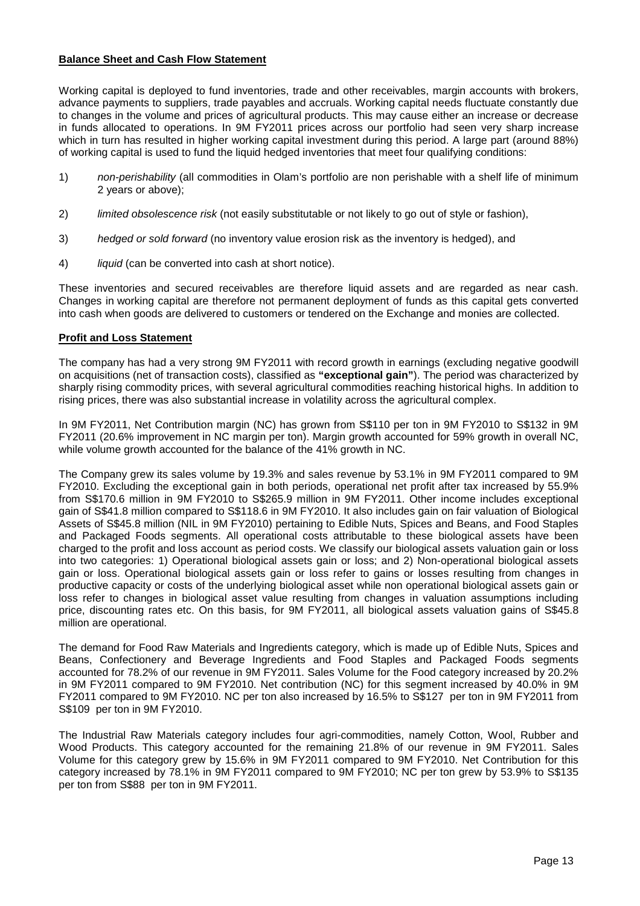## **Balance Sheet and Cash Flow Statement**

Working capital is deployed to fund inventories, trade and other receivables, margin accounts with brokers, advance payments to suppliers, trade payables and accruals. Working capital needs fluctuate constantly due to changes in the volume and prices of agricultural products. This may cause either an increase or decrease in funds allocated to operations. In 9M FY2011 prices across our portfolio had seen very sharp increase which in turn has resulted in higher working capital investment during this period. A large part (around 88%) of working capital is used to fund the liquid hedged inventories that meet four qualifying conditions:

- 1) non-perishability (all commodities in Olam's portfolio are non perishable with a shelf life of minimum 2 years or above);
- 2) limited obsolescence risk (not easily substitutable or not likely to go out of style or fashion),
- 3) hedged or sold forward (no inventory value erosion risk as the inventory is hedged), and
- 4) liquid (can be converted into cash at short notice).

These inventories and secured receivables are therefore liquid assets and are regarded as near cash. Changes in working capital are therefore not permanent deployment of funds as this capital gets converted into cash when goods are delivered to customers or tendered on the Exchange and monies are collected.

## **Profit and Loss Statement**

The company has had a very strong 9M FY2011 with record growth in earnings (excluding negative goodwill on acquisitions (net of transaction costs), classified as **"exceptional gain"**). The period was characterized by sharply rising commodity prices, with several agricultural commodities reaching historical highs. In addition to rising prices, there was also substantial increase in volatility across the agricultural complex.

In 9M FY2011, Net Contribution margin (NC) has grown from S\$110 per ton in 9M FY2010 to S\$132 in 9M FY2011 (20.6% improvement in NC margin per ton). Margin growth accounted for 59% growth in overall NC, while volume growth accounted for the balance of the 41% growth in NC.

The Company grew its sales volume by 19.3% and sales revenue by 53.1% in 9M FY2011 compared to 9M FY2010. Excluding the exceptional gain in both periods, operational net profit after tax increased by 55.9% from S\$170.6 million in 9M FY2010 to S\$265.9 million in 9M FY2011. Other income includes exceptional gain of S\$41.8 million compared to S\$118.6 in 9M FY2010. It also includes gain on fair valuation of Biological Assets of S\$45.8 million (NIL in 9M FY2010) pertaining to Edible Nuts, Spices and Beans, and Food Staples and Packaged Foods segments. All operational costs attributable to these biological assets have been charged to the profit and loss account as period costs. We classify our biological assets valuation gain or loss into two categories: 1) Operational biological assets gain or loss; and 2) Non-operational biological assets gain or loss. Operational biological assets gain or loss refer to gains or losses resulting from changes in productive capacity or costs of the underlying biological asset while non operational biological assets gain or loss refer to changes in biological asset value resulting from changes in valuation assumptions including price, discounting rates etc. On this basis, for 9M FY2011, all biological assets valuation gains of S\$45.8 million are operational.

The demand for Food Raw Materials and Ingredients category, which is made up of Edible Nuts, Spices and Beans, Confectionery and Beverage Ingredients and Food Staples and Packaged Foods segments accounted for 78.2% of our revenue in 9M FY2011. Sales Volume for the Food category increased by 20.2% in 9M FY2011 compared to 9M FY2010. Net contribution (NC) for this segment increased by 40.0% in 9M FY2011 compared to 9M FY2010. NC per ton also increased by 16.5% to S\$127 per ton in 9M FY2011 from S\$109 per ton in 9M FY2010.

The Industrial Raw Materials category includes four agri-commodities, namely Cotton, Wool, Rubber and Wood Products. This category accounted for the remaining 21.8% of our revenue in 9M FY2011. Sales Volume for this category grew by 15.6% in 9M FY2011 compared to 9M FY2010. Net Contribution for this category increased by 78.1% in 9M FY2011 compared to 9M FY2010; NC per ton grew by 53.9% to S\$135 per ton from S\$88 per ton in 9M FY2011.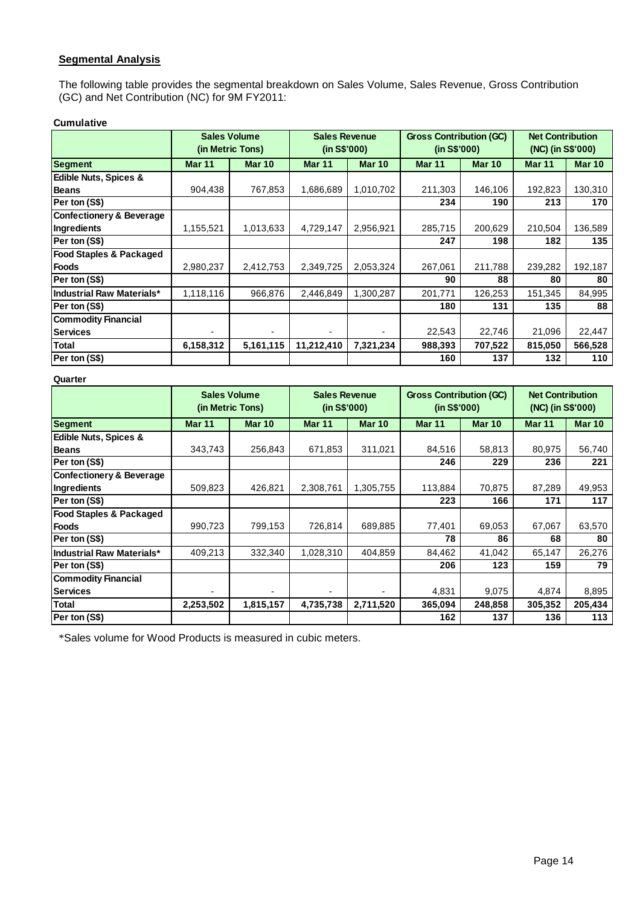# **Segmental Analysis**

The following table provides the segmental breakdown on Sales Volume, Sales Revenue, Gross Contribution (GC) and Net Contribution (NC) for 9M FY2011:

#### **Cumulative**

|                                     | <b>Sales Volume</b> | (in Metric Tons) | <b>Sales Revenue</b><br>(in S\$'000) |               | <b>Gross Contribution (GC)</b><br>(in S\$'000) |               | <b>Net Contribution</b><br>(NC) (in S\$'000) |               |
|-------------------------------------|---------------------|------------------|--------------------------------------|---------------|------------------------------------------------|---------------|----------------------------------------------|---------------|
| <b>Segment</b>                      | <b>Mar 11</b>       | <b>Mar 10</b>    | <b>Mar 11</b>                        | <b>Mar 10</b> | <b>Mar 11</b>                                  | <b>Mar 10</b> | Mar <sub>11</sub>                            | <b>Mar 10</b> |
| <b>Edible Nuts, Spices &amp;</b>    |                     |                  |                                      |               |                                                |               |                                              |               |
| <b>Beans</b>                        | 904,438             | 767,853          | 1,686,689                            | 1,010,702     | 211,303                                        | 146,106       | 192,823                                      | 130,310       |
| Per ton (S\$)                       |                     |                  |                                      |               | 234                                            | 190           | 213                                          | 170           |
| <b>Confectionery &amp; Beverage</b> |                     |                  |                                      |               |                                                |               |                                              |               |
| Ingredients                         | 1,155,521           | 1,013,633        | 4,729,147                            | 2,956,921     | 285,715                                        | 200,629       | 210,504                                      | 136,589       |
| Per ton (S\$)                       |                     |                  |                                      |               | 247                                            | 198           | 182                                          | 135           |
| <b>Food Staples &amp; Packaged</b>  |                     |                  |                                      |               |                                                |               |                                              |               |
| <b>Foods</b>                        | 2,980,237           | 2,412,753        | 2,349,725                            | 2,053,324     | 267,061                                        | 211,788       | 239,282                                      | 192,187       |
| Per ton (S\$)                       |                     |                  |                                      |               | 90                                             | 88            | 80                                           | 80            |
| <b>Industrial Raw Materials*</b>    | 1,118,116           | 966,876          | 2,446,849                            | 1,300,287     | 201,771                                        | 126,253       | 151,345                                      | 84,995        |
| Per ton (S\$)                       |                     |                  |                                      |               | 180                                            | 131           | 135                                          | 88            |
| <b>Commodity Financial</b>          |                     |                  |                                      |               |                                                |               |                                              |               |
| <b>Services</b>                     | ٠                   | ٠                |                                      |               | 22,543                                         | 22,746        | 21,096                                       | 22,447        |
| <b>Total</b>                        | 6,158,312           | 5,161,115        | 11,212,410                           | 7,321,234     | 988,393                                        | 707,522       | 815,050                                      | 566,528       |
| Per ton (S\$)                       |                     |                  |                                      |               | 160                                            | 137           | 132                                          | 110           |

#### **Quarter**

|                                     |               | <b>Sales Volume</b><br>(in Metric Tons) | <b>Sales Revenue</b><br>(in S\$'000) |               | <b>Gross Contribution (GC)</b><br>(in S\$'000) |               | <b>Net Contribution</b><br>(NC) (in S\$'000) |               |
|-------------------------------------|---------------|-----------------------------------------|--------------------------------------|---------------|------------------------------------------------|---------------|----------------------------------------------|---------------|
| <b>Segment</b>                      | <b>Mar 11</b> | <b>Mar 10</b>                           | <b>Mar 11</b>                        | <b>Mar 10</b> | <b>Mar 11</b>                                  | <b>Mar 10</b> | <b>Mar 11</b>                                | <b>Mar 10</b> |
| <b>Edible Nuts, Spices &amp;</b>    |               |                                         |                                      |               |                                                |               |                                              |               |
| <b>Beans</b>                        | 343,743       | 256,843                                 | 671,853                              | 311,021       | 84,516                                         | 58,813        | 80,975                                       | 56,740        |
| Per ton (S\$)                       |               |                                         |                                      |               | 246                                            | 229           | 236                                          | 221           |
| <b>Confectionery &amp; Beverage</b> |               |                                         |                                      |               |                                                |               |                                              |               |
| <b>Ingredients</b>                  | 509,823       | 426,821                                 | 2,308,761                            | 1,305,755     | 113,884                                        | 70,875        | 87,289                                       | 49,953        |
| Per ton (S\$)                       |               |                                         |                                      |               | 223                                            | 166           | 171                                          | 117           |
| <b>Food Staples &amp; Packaged</b>  |               |                                         |                                      |               |                                                |               |                                              |               |
| <b>Foods</b>                        | 990,723       | 799,153                                 | 726,814                              | 689,885       | 77,401                                         | 69,053        | 67,067                                       | 63,570        |
| Per ton (S\$)                       |               |                                         |                                      |               | 78                                             | 86            | 68                                           | 80            |
| <b>Industrial Raw Materials*</b>    | 409,213       | 332,340                                 | 1,028,310                            | 404,859       | 84,462                                         | 41,042        | 65,147                                       | 26,276        |
| Per ton (S\$)                       |               |                                         |                                      |               | 206                                            | 123           | 159                                          | 79            |
| <b>Commodity Financial</b>          |               |                                         |                                      |               |                                                |               |                                              |               |
| <b>Services</b>                     |               |                                         |                                      |               | 4,831                                          | 9,075         | 4,874                                        | 8,895         |
| <b>Total</b>                        | 2,253,502     | 1,815,157                               | 4,735,738                            | 2,711,520     | 365,094                                        | 248,858       | 305,352                                      | 205,434       |
| Per ton (S\$)                       |               |                                         |                                      |               | 162                                            | 137           | 136                                          | 113           |

\*Sales volume for Wood Products is measured in cubic meters.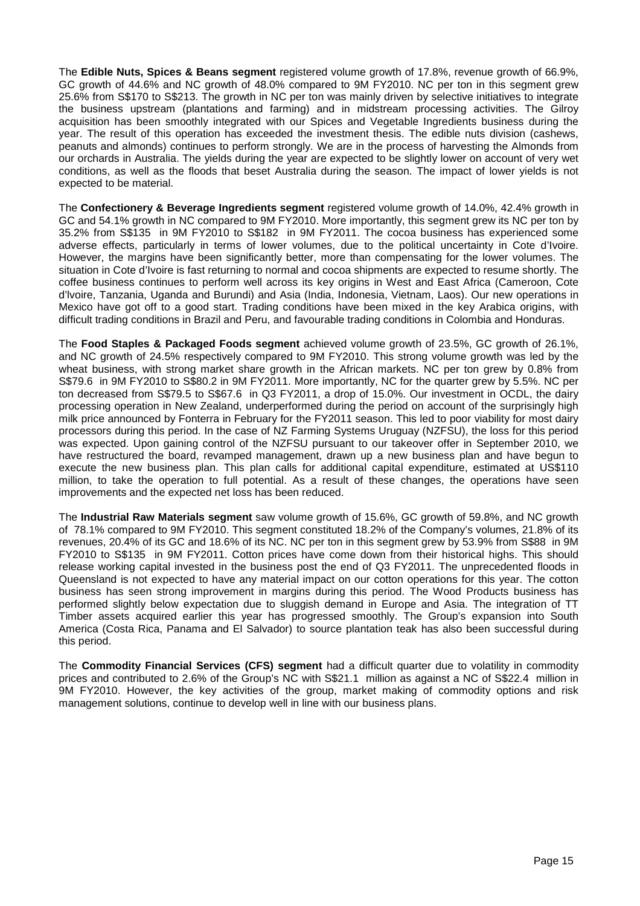The **Edible Nuts, Spices & Beans segment** registered volume growth of 17.8%, revenue growth of 66.9%, GC growth of 44.6% and NC growth of 48.0% compared to 9M FY2010. NC per ton in this segment grew 25.6% from S\$170 to S\$213. The growth in NC per ton was mainly driven by selective initiatives to integrate the business upstream (plantations and farming) and in midstream processing activities. The Gilroy acquisition has been smoothly integrated with our Spices and Vegetable Ingredients business during the year. The result of this operation has exceeded the investment thesis. The edible nuts division (cashews, peanuts and almonds) continues to perform strongly. We are in the process of harvesting the Almonds from our orchards in Australia. The yields during the year are expected to be slightly lower on account of very wet conditions, as well as the floods that beset Australia during the season. The impact of lower yields is not expected to be material.

The **Confectionery & Beverage Ingredients segment** registered volume growth of 14.0%, 42.4% growth in GC and 54.1% growth in NC compared to 9M FY2010. More importantly, this segment grew its NC per ton by 35.2% from S\$135 in 9M FY2010 to S\$182 in 9M FY2011. The cocoa business has experienced some adverse effects, particularly in terms of lower volumes, due to the political uncertainty in Cote d'Ivoire. However, the margins have been significantly better, more than compensating for the lower volumes. The situation in Cote d'Ivoire is fast returning to normal and cocoa shipments are expected to resume shortly. The coffee business continues to perform well across its key origins in West and East Africa (Cameroon, Cote d'lvoire, Tanzania, Uganda and Burundi) and Asia (India, Indonesia, Vietnam, Laos). Our new operations in Mexico have got off to a good start. Trading conditions have been mixed in the key Arabica origins, with difficult trading conditions in Brazil and Peru, and favourable trading conditions in Colombia and Honduras.

The **Food Staples & Packaged Foods segment** achieved volume growth of 23.5%, GC growth of 26.1%, and NC growth of 24.5% respectively compared to 9M FY2010. This strong volume growth was led by the wheat business, with strong market share growth in the African markets. NC per ton grew by 0.8% from S\$79.6 in 9M FY2010 to S\$80.2 in 9M FY2011. More importantly, NC for the quarter grew by 5.5%. NC per ton decreased from S\$79.5 to S\$67.6 in Q3 FY2011, a drop of 15.0%. Our investment in OCDL, the dairy processing operation in New Zealand, underperformed during the period on account of the surprisingly high milk price announced by Fonterra in February for the FY2011 season. This led to poor viability for most dairy processors during this period. In the case of NZ Farming Systems Uruguay (NZFSU), the loss for this period was expected. Upon gaining control of the NZFSU pursuant to our takeover offer in September 2010, we have restructured the board, revamped management, drawn up a new business plan and have begun to execute the new business plan. This plan calls for additional capital expenditure, estimated at US\$110 million, to take the operation to full potential. As a result of these changes, the operations have seen improvements and the expected net loss has been reduced.

The **Industrial Raw Materials segment** saw volume growth of 15.6%, GC growth of 59.8%, and NC growth of 78.1% compared to 9M FY2010. This segment constituted 18.2% of the Company's volumes, 21.8% of its revenues, 20.4% of its GC and 18.6% of its NC. NC per ton in this segment grew by 53.9% from S\$88 in 9M FY2010 to S\$135 in 9M FY2011. Cotton prices have come down from their historical highs. This should release working capital invested in the business post the end of Q3 FY2011. The unprecedented floods in Queensland is not expected to have any material impact on our cotton operations for this year. The cotton business has seen strong improvement in margins during this period. The Wood Products business has performed slightly below expectation due to sluggish demand in Europe and Asia. The integration of TT Timber assets acquired earlier this year has progressed smoothly. The Group's expansion into South America (Costa Rica, Panama and El Salvador) to source plantation teak has also been successful during this period.

The **Commodity Financial Services (CFS) segment** had a difficult quarter due to volatility in commodity prices and contributed to 2.6% of the Group's NC with S\$21.1 million as against a NC of S\$22.4 million in 9M FY2010. However, the key activities of the group, market making of commodity options and risk management solutions, continue to develop well in line with our business plans.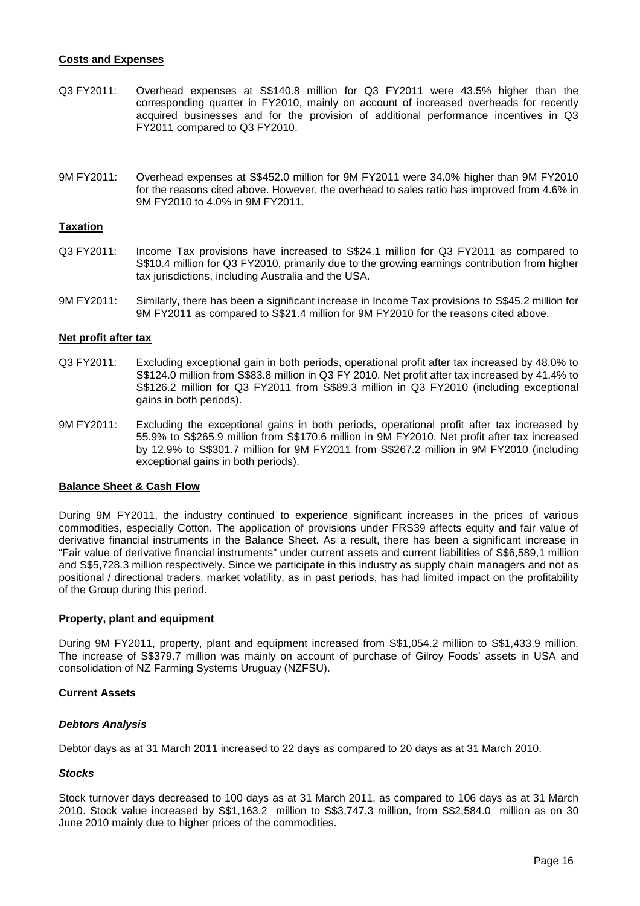### **Costs and Expenses**

- Q3 FY2011: Overhead expenses at S\$140.8 million for Q3 FY2011 were 43.5% higher than the corresponding quarter in FY2010, mainly on account of increased overheads for recently acquired businesses and for the provision of additional performance incentives in Q3 FY2011 compared to Q3 FY2010.
- 9M FY2011: Overhead expenses at S\$452.0 million for 9M FY2011 were 34.0% higher than 9M FY2010 for the reasons cited above. However, the overhead to sales ratio has improved from 4.6% in 9M FY2010 to 4.0% in 9M FY2011.

#### **Taxation**

- Q3 FY2011: Income Tax provisions have increased to S\$24.1 million for Q3 FY2011 as compared to S\$10.4 million for Q3 FY2010, primarily due to the growing earnings contribution from higher tax jurisdictions, including Australia and the USA.
- 9M FY2011: Similarly, there has been a significant increase in Income Tax provisions to S\$45.2 million for 9M FY2011 as compared to S\$21.4 million for 9M FY2010 for the reasons cited above.

#### **Net profit after tax**

- Q3 FY2011: Excluding exceptional gain in both periods, operational profit after tax increased by 48.0% to S\$124.0 million from S\$83.8 million in Q3 FY 2010. Net profit after tax increased by 41.4% to S\$126.2 million for Q3 FY2011 from S\$89.3 million in Q3 FY2010 (including exceptional gains in both periods).
- 9M FY2011: Excluding the exceptional gains in both periods, operational profit after tax increased by 55.9% to S\$265.9 million from S\$170.6 million in 9M FY2010. Net profit after tax increased by 12.9% to S\$301.7 million for 9M FY2011 from S\$267.2 million in 9M FY2010 (including exceptional gains in both periods).

#### **Balance Sheet & Cash Flow**

During 9M FY2011, the industry continued to experience significant increases in the prices of various commodities, especially Cotton. The application of provisions under FRS39 affects equity and fair value of derivative financial instruments in the Balance Sheet. As a result, there has been a significant increase in "Fair value of derivative financial instruments" under current assets and current liabilities of S\$6,589,1 million and S\$5,728.3 million respectively. Since we participate in this industry as supply chain managers and not as positional / directional traders, market volatility, as in past periods, has had limited impact on the profitability of the Group during this period.

#### **Property, plant and equipment**

During 9M FY2011, property, plant and equipment increased from S\$1,054.2 million to S\$1,433.9 million. The increase of S\$379.7 million was mainly on account of purchase of Gilroy Foods' assets in USA and consolidation of NZ Farming Systems Uruguay (NZFSU).

#### **Current Assets**

#### **Debtors Analysis**

Debtor days as at 31 March 2011 increased to 22 days as compared to 20 days as at 31 March 2010.

#### **Stocks**

Stock turnover days decreased to 100 days as at 31 March 2011, as compared to 106 days as at 31 March 2010. Stock value increased by S\$1,163.2 million to S\$3,747.3 million, from S\$2,584.0 million as on 30 June 2010 mainly due to higher prices of the commodities.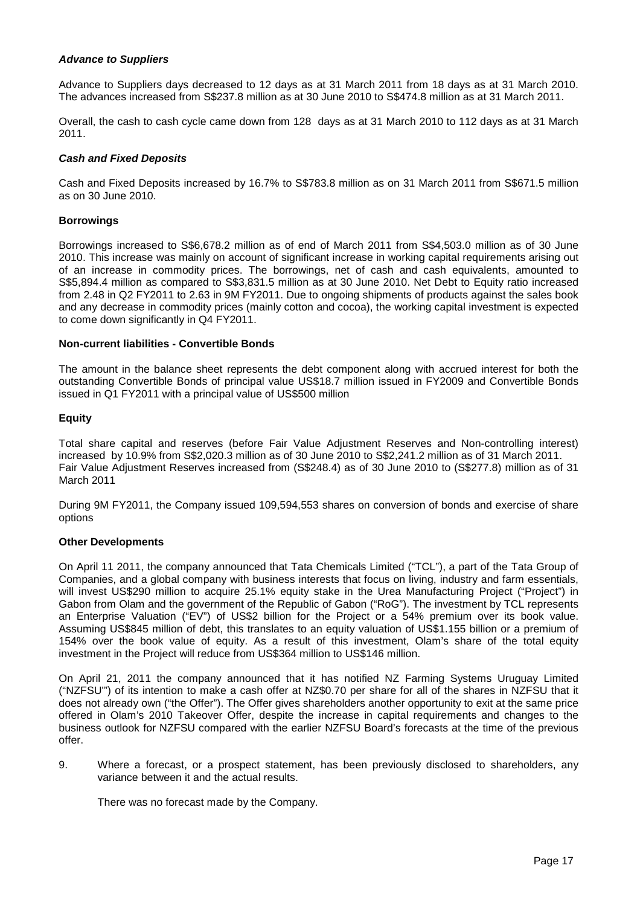## **Advance to Suppliers**

Advance to Suppliers days decreased to 12 days as at 31 March 2011 from 18 days as at 31 March 2010. The advances increased from S\$237.8 million as at 30 June 2010 to S\$474.8 million as at 31 March 2011.

Overall, the cash to cash cycle came down from 128 days as at 31 March 2010 to 112 days as at 31 March 2011.

#### **Cash and Fixed Deposits**

Cash and Fixed Deposits increased by 16.7% to S\$783.8 million as on 31 March 2011 from S\$671.5 million as on 30 June 2010.

#### **Borrowings**

Borrowings increased to S\$6,678.2 million as of end of March 2011 from S\$4,503.0 million as of 30 June 2010. This increase was mainly on account of significant increase in working capital requirements arising out of an increase in commodity prices. The borrowings, net of cash and cash equivalents, amounted to S\$5,894.4 million as compared to S\$3,831.5 million as at 30 June 2010. Net Debt to Equity ratio increased from 2.48 in Q2 FY2011 to 2.63 in 9M FY2011. Due to ongoing shipments of products against the sales book and any decrease in commodity prices (mainly cotton and cocoa), the working capital investment is expected to come down significantly in Q4 FY2011.

#### **Non-current liabilities - Convertible Bonds**

The amount in the balance sheet represents the debt component along with accrued interest for both the outstanding Convertible Bonds of principal value US\$18.7 million issued in FY2009 and Convertible Bonds issued in Q1 FY2011 with a principal value of US\$500 million

## **Equity**

Total share capital and reserves (before Fair Value Adjustment Reserves and Non-controlling interest) increased by 10.9% from S\$2,020.3 million as of 30 June 2010 to S\$2,241.2 million as of 31 March 2011. Fair Value Adjustment Reserves increased from (S\$248.4) as of 30 June 2010 to (S\$277.8) million as of 31 March 2011

During 9M FY2011, the Company issued 109,594,553 shares on conversion of bonds and exercise of share options

#### **Other Developments**

On April 11 2011, the company announced that Tata Chemicals Limited ("TCL"), a part of the Tata Group of Companies, and a global company with business interests that focus on living, industry and farm essentials, will invest US\$290 million to acquire 25.1% equity stake in the Urea Manufacturing Project ("Project") in Gabon from Olam and the government of the Republic of Gabon ("RoG"). The investment by TCL represents an Enterprise Valuation ("EV") of US\$2 billion for the Project or a 54% premium over its book value. Assuming US\$845 million of debt, this translates to an equity valuation of US\$1.155 billion or a premium of 154% over the book value of equity. As a result of this investment, Olam's share of the total equity investment in the Project will reduce from US\$364 million to US\$146 million.

On April 21, 2011 the company announced that it has notified NZ Farming Systems Uruguay Limited ("NZFSU'") of its intention to make a cash offer at NZ\$0.70 per share for all of the shares in NZFSU that it does not already own ("the Offer"). The Offer gives shareholders another opportunity to exit at the same price offered in Olam's 2010 Takeover Offer, despite the increase in capital requirements and changes to the business outlook for NZFSU compared with the earlier NZFSU Board's forecasts at the time of the previous offer.

9. Where a forecast, or a prospect statement, has been previously disclosed to shareholders, any variance between it and the actual results.

There was no forecast made by the Company.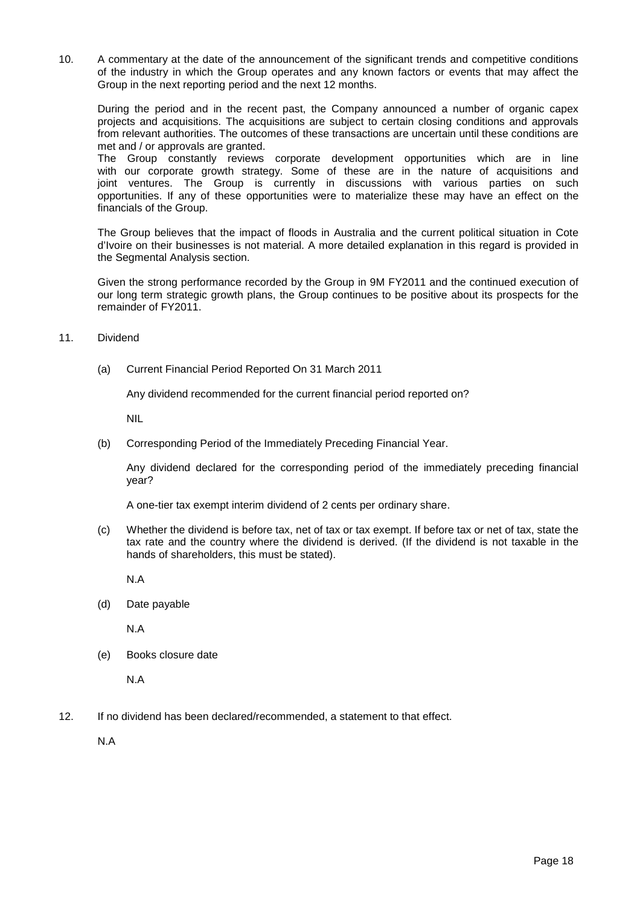10. A commentary at the date of the announcement of the significant trends and competitive conditions of the industry in which the Group operates and any known factors or events that may affect the Group in the next reporting period and the next 12 months.

During the period and in the recent past, the Company announced a number of organic capex projects and acquisitions. The acquisitions are subject to certain closing conditions and approvals from relevant authorities. The outcomes of these transactions are uncertain until these conditions are met and / or approvals are granted.

The Group constantly reviews corporate development opportunities which are in line with our corporate growth strategy. Some of these are in the nature of acquisitions and joint ventures. The Group is currently in discussions with various parties on such opportunities. If any of these opportunities were to materialize these may have an effect on the financials of the Group.

The Group believes that the impact of floods in Australia and the current political situation in Cote d'Ivoire on their businesses is not material. A more detailed explanation in this regard is provided in the Segmental Analysis section.

Given the strong performance recorded by the Group in 9M FY2011 and the continued execution of our long term strategic growth plans, the Group continues to be positive about its prospects for the remainder of FY2011.

## 11. Dividend

(a) Current Financial Period Reported On 31 March 2011

Any dividend recommended for the current financial period reported on?

NIL

(b) Corresponding Period of the Immediately Preceding Financial Year.

Any dividend declared for the corresponding period of the immediately preceding financial year?

A one-tier tax exempt interim dividend of 2 cents per ordinary share.

(c) Whether the dividend is before tax, net of tax or tax exempt. If before tax or net of tax, state the tax rate and the country where the dividend is derived. (If the dividend is not taxable in the hands of shareholders, this must be stated).

N.A

(d) Date payable

N.A

(e) Books closure date

N.A

12. If no dividend has been declared/recommended, a statement to that effect.

N.A